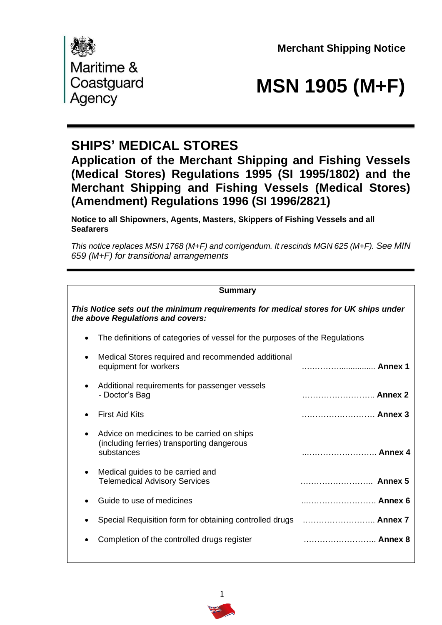**Merchant Shipping Notice** 



# Coastguard **MSN 1905 (M+F)**<br>Agency

## **SHIPS' MEDICAL STORES**

**Application of the Merchant Shipping and Fishing Vessels (Medical Stores) Regulations 1995 (SI 1995/1802) and the Merchant Shipping and Fishing Vessels (Medical Stores) (Amendment) Regulations 1996 (SI 1996/2821)** 

**Notice to all Shipowners, Agents, Masters, Skippers of Fishing Vessels and all Seafarers** 

*This notice replaces MSN 1768 (M+F) and corrigendum. It rescinds MGN 625 (M+F). See MIN 659 (M+F) for transitional arrangements*

## **Summary**

| This Notice sets out the minimum requirements for medical stores for UK ships under<br>the above Regulations and covers: |                                                                             |  |  |  |  |  |  |
|--------------------------------------------------------------------------------------------------------------------------|-----------------------------------------------------------------------------|--|--|--|--|--|--|
| $\bullet$                                                                                                                | The definitions of categories of vessel for the purposes of the Regulations |  |  |  |  |  |  |
| Medical Stores required and recommended additional<br>$\bullet$<br>equipment for workers                                 | Annex 1                                                                     |  |  |  |  |  |  |
| Additional requirements for passenger vessels<br>$\bullet$<br>- Doctor's Bag                                             | Annex 2                                                                     |  |  |  |  |  |  |
| <b>First Aid Kits</b>                                                                                                    | Annex 3                                                                     |  |  |  |  |  |  |
| Advice on medicines to be carried on ships<br>٠<br>(including ferries) transporting dangerous<br>substances              | Annex 4                                                                     |  |  |  |  |  |  |
| Medical guides to be carried and<br>$\bullet$<br><b>Telemedical Advisory Services</b>                                    | Annex 5                                                                     |  |  |  |  |  |  |
| Guide to use of medicines                                                                                                | Annex 6                                                                     |  |  |  |  |  |  |
| $\bullet$                                                                                                                |                                                                             |  |  |  |  |  |  |
| Completion of the controlled drugs register                                                                              | Annex 8                                                                     |  |  |  |  |  |  |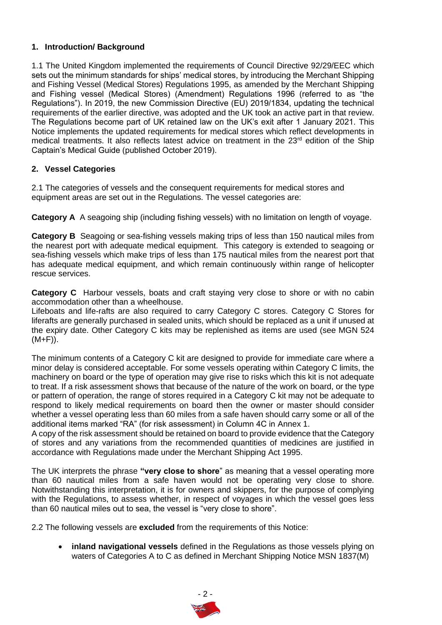## **1. Introduction/ Background**

1.1 The United Kingdom implemented the requirements of Council Directive 92/29/EEC which sets out the minimum standards for ships' medical stores, by introducing the Merchant Shipping and Fishing Vessel (Medical Stores) Regulations 1995, as amended by the Merchant Shipping and Fishing vessel (Medical Stores) (Amendment) Regulations 1996 (referred to as "the Regulations"). In 2019, the new Commission Directive (EU) 2019/1834, updating the technical requirements of the earlier directive, was adopted and the UK took an active part in that review. The Regulations become part of UK retained law on the UK's exit after 1 January 2021. This Notice implements the updated requirements for medical stores which reflect developments in medical treatments. It also reflects latest advice on treatment in the 23<sup>rd</sup> edition of the Ship Captain's Medical Guide (published October 2019).

## **2. Vessel Categories**

2.1 The categories of vessels and the consequent requirements for medical stores and equipment areas are set out in the Regulations. The vessel categories are:

**Category A** A seagoing ship (including fishing vessels) with no limitation on length of voyage.

**Category B** Seagoing or sea-fishing vessels making trips of less than 150 nautical miles from the nearest port with adequate medical equipment. This category is extended to seagoing or sea-fishing vessels which make trips of less than 175 nautical miles from the nearest port that has adequate medical equipment, and which remain continuously within range of helicopter rescue services.

**Category C** Harbour vessels, boats and craft staying very close to shore or with no cabin accommodation other than a wheelhouse.

Lifeboats and life-rafts are also required to carry Category C stores. Category C Stores for liferafts are generally purchased in sealed units, which should be replaced as a unit if unused at the expiry date. Other Category C kits may be replenished as items are used (see MGN 524  $(M+F)$ ).

The minimum contents of a Category C kit are designed to provide for immediate care where a minor delay is considered acceptable. For some vessels operating within Category C limits, the machinery on board or the type of operation may give rise to risks which this kit is not adequate to treat. If a risk assessment shows that because of the nature of the work on board, or the type or pattern of operation, the range of stores required in a Category C kit may not be adequate to respond to likely medical requirements on board then the owner or master should consider whether a vessel operating less than 60 miles from a safe haven should carry some or all of the additional items marked "RA" (for risk assessment) in Column 4C in Annex 1.

A copy of the risk assessment should be retained on board to provide evidence that the Category of stores and any variations from the recommended quantities of medicines are justified in accordance with Regulations made under the Merchant Shipping Act 1995.

The UK interprets the phrase **"very close to shore**" as meaning that a vessel operating more than 60 nautical miles from a safe haven would not be operating very close to shore. Notwithstanding this interpretation, it is for owners and skippers, for the purpose of complying with the Regulations, to assess whether, in respect of voyages in which the vessel goes less than 60 nautical miles out to sea, the vessel is "very close to shore".

2.2 The following vessels are **excluded** from the requirements of this Notice:

• **inland navigational vessels** defined in the Regulations as those vessels plying on waters of Categories A to C as defined in Merchant Shipping Notice MSN 1837(M)

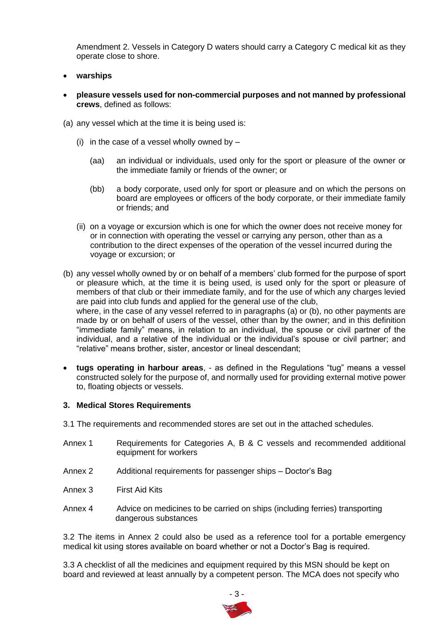Amendment 2. Vessels in Category D waters should carry a Category C medical kit as they operate close to shore.

- **warships**
- **pleasure vessels used for non-commercial purposes and not manned by professional crews**, defined as follows:
- (a) any vessel which at the time it is being used is:
	- (i) in the case of a vessel wholly owned by  $-$ 
		- (aa) an individual or individuals, used only for the sport or pleasure of the owner or the immediate family or friends of the owner; or
		- (bb) a body corporate, used only for sport or pleasure and on which the persons on board are employees or officers of the body corporate, or their immediate family or friends; and
	- (ii) on a voyage or excursion which is one for which the owner does not receive money for or in connection with operating the vessel or carrying any person, other than as a contribution to the direct expenses of the operation of the vessel incurred during the voyage or excursion; or
- (b) any vessel wholly owned by or on behalf of a members' club formed for the purpose of sport or pleasure which, at the time it is being used, is used only for the sport or pleasure of members of that club or their immediate family, and for the use of which any charges levied are paid into club funds and applied for the general use of the club, where, in the case of any vessel referred to in paragraphs (a) or (b), no other payments are made by or on behalf of users of the vessel, other than by the owner; and in this definition "immediate family" means, in relation to an individual, the spouse or civil partner of the individual, and a relative of the individual or the individual's spouse or civil partner; and "relative" means brother, sister, ancestor or lineal descendant;
- **tugs operating in harbour areas**, as defined in the Regulations "tug" means a vessel constructed solely for the purpose of, and normally used for providing external motive power to, floating objects or vessels.

#### **3. Medical Stores Requirements**

- 3.1 The requirements and recommended stores are set out in the attached schedules.
- Annex 1 Requirements for Categories A, B & C vessels and recommended additional equipment for workers
- Annex 2 Additional requirements for passenger ships Doctor's Bag
- Annex 3 First Aid Kits
- Annex 4 Advice on medicines to be carried on ships (including ferries) transporting dangerous substances

3.2 The items in Annex 2 could also be used as a reference tool for a portable emergency medical kit using stores available on board whether or not a Doctor's Bag is required.

3.3 A checklist of all the medicines and equipment required by this MSN should be kept on board and reviewed at least annually by a competent person. The MCA does not specify who

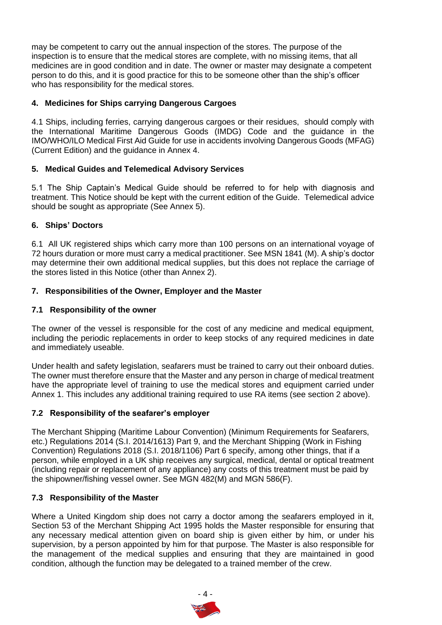may be competent to carry out the annual inspection of the stores. The purpose of the inspection is to ensure that the medical stores are complete, with no missing items, that all medicines are in good condition and in date. The owner or master may designate a competent person to do this, and it is good practice for this to be someone other than the ship's officer who has responsibility for the medical stores.

## **4. Medicines for Ships carrying Dangerous Cargoes**

4.1 Ships, including ferries, carrying dangerous cargoes or their residues, should comply with the International Maritime Dangerous Goods (IMDG) Code and the guidance in the IMO/WHO/ILO Medical First Aid Guide for use in accidents involving Dangerous Goods (MFAG) (Current Edition) and the guidance in Annex 4.

## **5. Medical Guides and Telemedical Advisory Services**

5.1 The Ship Captain's Medical Guide should be referred to for help with diagnosis and treatment. This Notice should be kept with the current edition of the Guide. Telemedical advice should be sought as appropriate (See Annex 5).

## **6. Ships' Doctors**

6.1 All UK registered ships which carry more than 100 persons on an international voyage of 72 hours duration or more must carry a medical practitioner. See MSN 1841 (M). A ship's doctor may determine their own additional medical supplies, but this does not replace the carriage of the stores listed in this Notice (other than Annex 2).

## **7. Responsibilities of the Owner, Employer and the Master**

## **7.1 Responsibility of the owner**

The owner of the vessel is responsible for the cost of any medicine and medical equipment, including the periodic replacements in order to keep stocks of any required medicines in date and immediately useable.

Under health and safety legislation, seafarers must be trained to carry out their onboard duties. The owner must therefore ensure that the Master and any person in charge of medical treatment have the appropriate level of training to use the medical stores and equipment carried under Annex 1. This includes any additional training required to use RA items (see section 2 above).

## **7.2 Responsibility of the seafarer's employer**

The Merchant Shipping (Maritime Labour Convention) (Minimum Requirements for Seafarers, etc.) Regulations 2014 (S.I. 2014/1613) Part 9, and the Merchant Shipping (Work in Fishing Convention) Regulations 2018 (S.I. 2018/1106) Part 6 specify, among other things, that if a person, while employed in a UK ship receives any surgical, medical, dental or optical treatment (including repair or replacement of any appliance) any costs of this treatment must be paid by the shipowner/fishing vessel owner. See MGN 482(M) and MGN 586(F).

## **7.3 Responsibility of the Master**

Where a United Kingdom ship does not carry a doctor among the seafarers employed in it, Section 53 of the Merchant Shipping Act 1995 holds the Master responsible for ensuring that any necessary medical attention given on board ship is given either by him, or under his supervision, by a person appointed by him for that purpose. The Master is also responsible for the management of the medical supplies and ensuring that they are maintained in good condition, although the function may be delegated to a trained member of the crew.

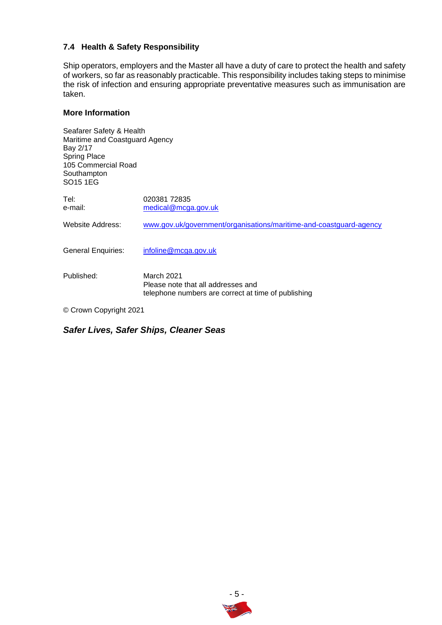## **7.4 Health & Safety Responsibility**

Ship operators, employers and the Master all have a duty of care to protect the health and safety of workers, so far as reasonably practicable. This responsibility includes taking steps to minimise the risk of infection and ensuring appropriate preventative measures such as immunisation are taken.

## **More Information**

| Seafarer Safety & Health<br>Maritime and Coastguard Agency<br>Bay 2/17<br><b>Spring Place</b><br>105 Commercial Road<br>Southampton<br>SO <sub>15</sub> 1EG |                                                                                                                |
|-------------------------------------------------------------------------------------------------------------------------------------------------------------|----------------------------------------------------------------------------------------------------------------|
| Tel:<br>e-mail:                                                                                                                                             | 02038172835<br>medical@mcga.gov.uk                                                                             |
| Website Address:                                                                                                                                            | www.gov.uk/government/organisations/maritime-and-coastguard-agency                                             |
| <b>General Enquiries:</b>                                                                                                                                   | infoline@mcga.gov.uk                                                                                           |
| Published:                                                                                                                                                  | <b>March 2021</b><br>Please note that all addresses and<br>telephone numbers are correct at time of publishing |
| © Crown Convright 2021                                                                                                                                      |                                                                                                                |

© Crown Copyright 2021

## *Safer Lives, Safer Ships, Cleaner Seas.*

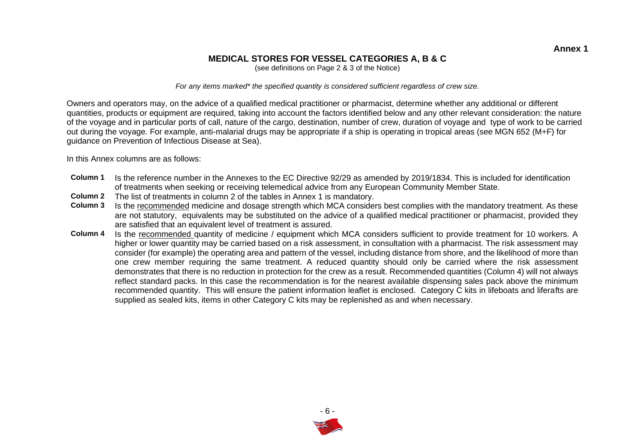## **MEDICAL STORES FOR VESSEL CATEGORIES A, B & C**

(see definitions on Page 2 & 3 of the Notice)

*For any items marked\* the specified quantity is considered sufficient regardless of crew size.* 

Owners and operators may, on the advice of a qualified medical practitioner or pharmacist, determine whether any additional or different quantities, products or equipment are required, taking into account the factors identified below and any other relevant consideration: the nature of the voyage and in particular ports of call, nature of the cargo, destination, number of crew, duration of voyage and type of work to be carried out during the voyage. For example, anti-malarial drugs may be appropriate if a ship is operating in tropical areas (see MGN 652 (M+F) for guidance on Prevention of Infectious Disease at Sea).

In this Annex columns are as follows:

- **Column 1** Is the reference number in the Annexes to the EC Directive 92/29 as amended by 2019/1834. This is included for identification of treatments when seeking or receiving telemedical advice from any European Community Member State.
- **Column 2** The list of treatments in column 2 of the tables in Annex 1 is mandatory.
- **Column 3** Is the recommended medicine and dosage strength which MCA considers best complies with the mandatory treatment. As these are not statutory, equivalents may be substituted on the advice of a qualified medical practitioner or pharmacist, provided they are satisfied that an equivalent level of treatment is assured.
- **Column 4** Is the recommended quantity of medicine / equipment which MCA considers sufficient to provide treatment for 10 workers. A higher or lower quantity may be carried based on a risk assessment, in consultation with a pharmacist. The risk assessment may consider (for example) the operating area and pattern of the vessel, including distance from shore, and the likelihood of more than one crew member requiring the same treatment. A reduced quantity should only be carried where the risk assessment demonstrates that there is no reduction in protection for the crew as a result. Recommended quantities (Column 4) will not always reflect standard packs. In this case the recommendation is for the nearest available dispensing sales pack above the minimum recommended quantity. This will ensure the patient information leaflet is enclosed. Category C kits in lifeboats and liferafts are supplied as sealed kits, items in other Category C kits may be replenished as and when necessary.

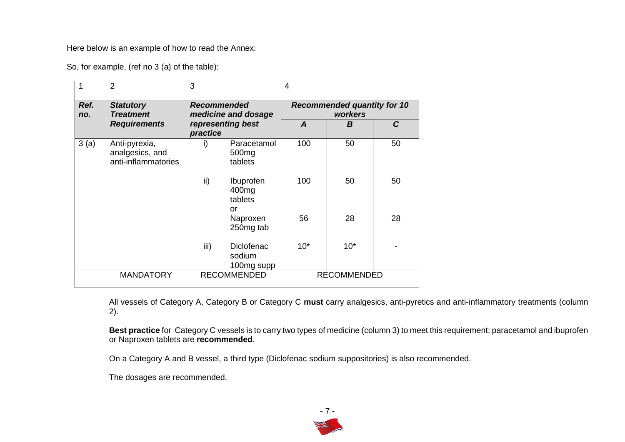Here below is an example of how to read the Annex:

So, for example, (ref no 3 (a) of the table):

|             | $\overline{2}$                                          | 3                                         |                                             | $\overline{4}$ |                                               |              |
|-------------|---------------------------------------------------------|-------------------------------------------|---------------------------------------------|----------------|-----------------------------------------------|--------------|
| Ref.<br>no. | <b>Statutory</b><br><b>Treatment</b>                    | <b>Recommended</b><br>medicine and dosage |                                             |                | <b>Recommended quantity for 10</b><br>workers |              |
|             | <b>Requirements</b>                                     | practice                                  | representing best                           | A              | B                                             | $\mathcal C$ |
| 3(a)        | Anti-pyrexia,<br>analgesics, and<br>anti-inflammatories | i)                                        | Paracetamol<br>500 <sub>mg</sub><br>tablets | 100            | 50                                            | 50           |
|             |                                                         | ii)                                       | Ibuprofen<br>400mg<br>tablets<br>or         | 100            | 50                                            | 50           |
|             |                                                         |                                           | Naproxen<br>250mg tab                       | 56             | 28                                            | 28           |
|             |                                                         | iii)                                      | <b>Diclofenac</b><br>sodium<br>100mg supp   | $10*$          | $10*$                                         |              |
|             | <b>MANDATORY</b>                                        |                                           | <b>RECOMMENDED</b>                          |                | <b>RECOMMENDED</b>                            |              |

All vessels of Category A, Category B or Category C **must** carry analgesics, anti-pyretics and anti-inflammatory treatments (column 2).

**Best practice** for Category C vessels is to carry two types of medicine (column 3) to meet this requirement; paracetamol and ibuprofen or Naproxen tablets are **recommended**.

On a Category A and B vessel, a third type (Diclofenac sodium suppositories) is also recommended.

The dosages are recommended.

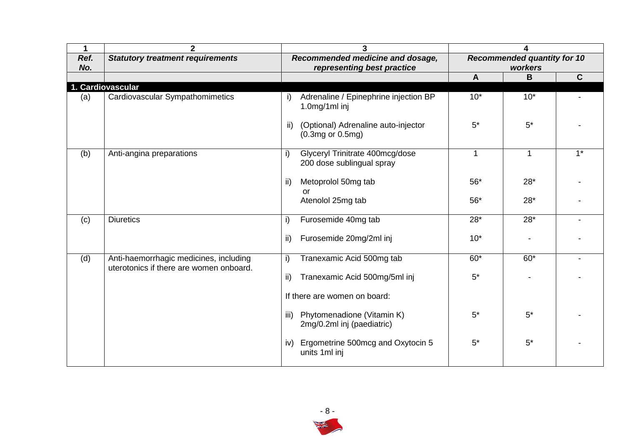| 1                 | $\mathbf{2}$                                                                      | 3                                                                   |                                               |       |             |
|-------------------|-----------------------------------------------------------------------------------|---------------------------------------------------------------------|-----------------------------------------------|-------|-------------|
| Ref.<br>No.       | <b>Statutory treatment requirements</b>                                           | Recommended medicine and dosage,<br>representing best practice      | <b>Recommended quantity for 10</b><br>workers |       |             |
|                   |                                                                                   |                                                                     | $\mathbf{A}$                                  | B     | $\mathbf C$ |
| 1. Cardiovascular |                                                                                   |                                                                     |                                               |       |             |
| (a)               | Cardiovascular Sympathomimetics                                                   | Adrenaline / Epinephrine injection BP<br>i)<br>1.0mg/1ml inj        | $10*$                                         | $10*$ |             |
|                   |                                                                                   | (Optional) Adrenaline auto-injector<br>ii)<br>$(0.3mg$ or $0.5mg$ ) | $5*$                                          | $5*$  |             |
| (b)               | Anti-angina preparations                                                          | Glyceryl Trinitrate 400mcg/dose<br>i)<br>200 dose sublingual spray  | 1                                             | 1     | $1*$        |
|                   |                                                                                   | Metoprolol 50mg tab<br>ii)<br>or                                    | $56*$                                         | $28*$ |             |
|                   |                                                                                   | Atenolol 25mg tab                                                   | $56*$                                         | $28*$ |             |
| (c)               | <b>Diuretics</b>                                                                  | Furosemide 40mg tab<br>i)                                           | $28*$                                         | $28*$ |             |
|                   |                                                                                   | Furosemide 20mg/2ml inj<br>ii)                                      | $10*$                                         |       |             |
| (d)               | Anti-haemorrhagic medicines, including<br>uterotonics if there are women onboard. | Tranexamic Acid 500mg tab<br>i)                                     | $60*$                                         | $60*$ |             |
|                   |                                                                                   | Tranexamic Acid 500mg/5ml inj<br>ii)                                | $5^*$                                         |       |             |
|                   |                                                                                   | If there are women on board:                                        |                                               |       |             |
|                   |                                                                                   | Phytomenadione (Vitamin K)<br>iii)<br>2mg/0.2ml inj (paediatric)    | $5^*$                                         | $5*$  |             |
|                   |                                                                                   | Ergometrine 500mcg and Oxytocin 5<br>iv)<br>units 1ml inj           | $5*$                                          | $5*$  |             |

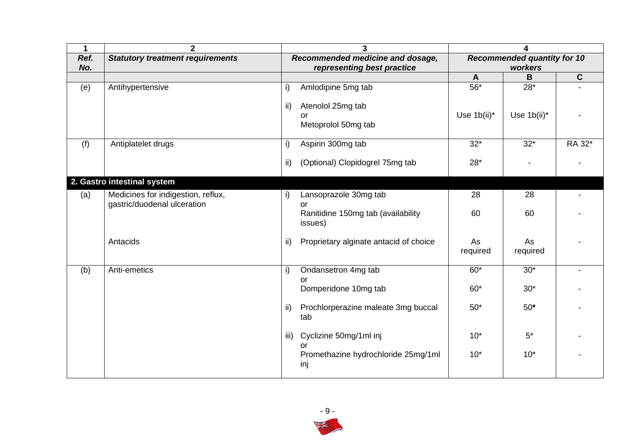| 1    | $\overline{2}$                          |      | 3                                      |                | 4                                  |             |
|------|-----------------------------------------|------|----------------------------------------|----------------|------------------------------------|-------------|
| Ref. | <b>Statutory treatment requirements</b> |      | Recommended medicine and dosage,       |                | <b>Recommended quantity for 10</b> |             |
| No.  |                                         |      | representing best practice             |                | workers<br>B                       | $\mathbf C$ |
|      |                                         |      |                                        | $\mathbf{A}$   |                                    |             |
| (e)  | Antihypertensive                        | i)   | Amlodipine 5mg tab                     | $56*$          | $28*$                              |             |
|      |                                         | ii)  | Atenolol 25mg tab                      |                |                                    |             |
|      |                                         |      | or                                     | Use $1b(ii)^*$ | Use $1b(ii)^*$                     |             |
|      |                                         |      | Metoprolol 50mg tab                    |                |                                    |             |
|      |                                         |      |                                        |                |                                    |             |
| (f)  | Antiplatelet drugs                      | i)   | Aspirin 300mg tab                      | $32*$          | $32*$                              | RA 32*      |
|      |                                         |      |                                        |                |                                    |             |
|      |                                         | ii)  | (Optional) Clopidogrel 75mg tab        | $28*$          |                                    |             |
|      |                                         |      |                                        |                |                                    |             |
|      | 2. Gastro intestinal system             |      |                                        |                |                                    |             |
| (a)  | Medicines for indigestion, reflux,      | i)   | Lansoprazole 30mg tab                  | 28             | 28                                 |             |
|      | gastric/duodenal ulceration             |      | or                                     |                |                                    |             |
|      |                                         |      | Ranitidine 150mg tab (availability     | 60             | 60                                 |             |
|      |                                         |      | issues)                                |                |                                    |             |
|      |                                         |      |                                        |                |                                    |             |
|      | Antacids                                | ii)  | Proprietary alginate antacid of choice | As             | As                                 |             |
|      |                                         |      |                                        | required       | required                           |             |
| (b)  | Anti-emetics                            | i)   | Ondansetron 4mg tab                    | $60*$          | $30*$                              |             |
|      |                                         |      | or                                     |                |                                    |             |
|      |                                         |      | Domperidone 10mg tab                   | $60*$          | $30*$                              |             |
|      |                                         |      |                                        |                |                                    |             |
|      |                                         | ii)  | Prochlorperazine maleate 3mg buccal    | $50*$          | $50*$                              |             |
|      |                                         |      | tab                                    |                |                                    |             |
|      |                                         |      |                                        |                |                                    |             |
|      |                                         | iii) | Cyclizine 50mg/1ml inj                 | $10*$          | $5*$                               |             |
|      |                                         |      | or                                     |                |                                    |             |
|      |                                         |      | Promethazine hydrochloride 25mg/1ml    | $10*$          | $10*$                              |             |
|      |                                         |      | inj                                    |                |                                    |             |

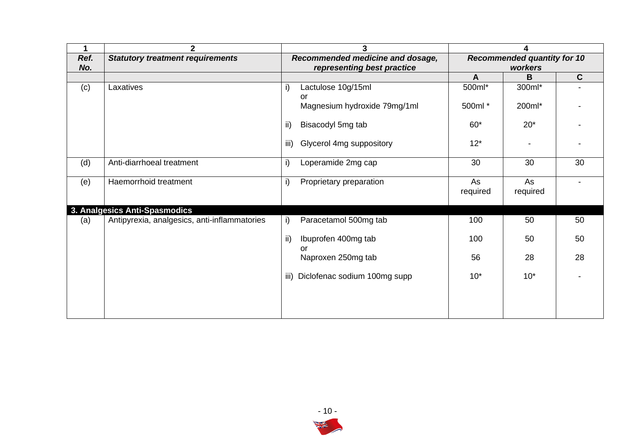| $\mathbf 1$ | $\overline{2}$                               |                                                                | 3                            |                                               | 4              |              |  |
|-------------|----------------------------------------------|----------------------------------------------------------------|------------------------------|-----------------------------------------------|----------------|--------------|--|
| Ref.<br>No. | <b>Statutory treatment requirements</b>      | Recommended medicine and dosage,<br>representing best practice |                              | <b>Recommended quantity for 10</b><br>workers |                |              |  |
|             |                                              |                                                                |                              | A                                             | B              | $\mathbf{C}$ |  |
| (c)         | Laxatives                                    | i)                                                             | Lactulose 10g/15ml<br>or     | 500ml*                                        | 300ml*         |              |  |
|             |                                              |                                                                | Magnesium hydroxide 79mg/1ml | 500ml *                                       | 200ml*         |              |  |
|             |                                              | ii)                                                            | Bisacodyl 5mg tab            | $60*$                                         | $20*$          |              |  |
|             |                                              | iii)                                                           | Glycerol 4mg suppository     | $12*$                                         |                |              |  |
| (d)         | Anti-diarrhoeal treatment                    | i)                                                             | Loperamide 2mg cap           | 30                                            | 30             | 30           |  |
| (e)         | Haemorrhoid treatment                        | i)                                                             | Proprietary preparation      | As<br>required                                | As<br>required |              |  |
|             | 3. Analgesics Anti-Spasmodics                |                                                                |                              |                                               |                |              |  |
| (a)         | Antipyrexia, analgesics, anti-inflammatories | i)                                                             | Paracetamol 500mg tab        | 100                                           | 50             | 50           |  |
|             |                                              | ii)                                                            | Ibuprofen 400mg tab<br>or    | 100                                           | 50             | 50           |  |
|             |                                              |                                                                | Naproxen 250mg tab           | 56                                            | 28             | 28           |  |
|             |                                              | iii)                                                           | Diclofenac sodium 100mg supp | $10*$                                         | $10*$          |              |  |
|             |                                              |                                                                |                              |                                               |                |              |  |

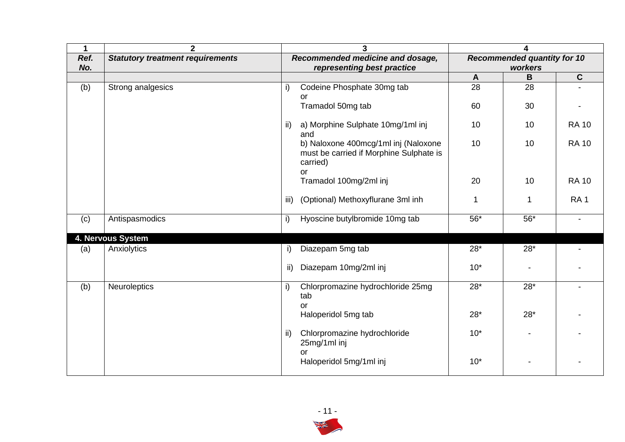| 1    | $\overline{2}$                          | 3<br>4                                                                                                        |                |
|------|-----------------------------------------|---------------------------------------------------------------------------------------------------------------|----------------|
| Ref. | <b>Statutory treatment requirements</b> | Recommended medicine and dosage,<br><b>Recommended quantity for 10</b>                                        |                |
| No.  |                                         | representing best practice<br>workers                                                                         |                |
|      |                                         | B<br>$\mathbf{A}$                                                                                             | $\mathbf C$    |
| (b)  | Strong analgesics                       | 28<br>28<br>Codeine Phosphate 30mg tab<br>i)<br>or                                                            |                |
|      |                                         | Tramadol 50mg tab<br>60<br>30                                                                                 |                |
|      |                                         | a) Morphine Sulphate 10mg/1ml inj<br>10<br>10<br>ii)<br>and                                                   | <b>RA 10</b>   |
|      |                                         | b) Naloxone 400mcg/1ml inj (Naloxone<br>10<br>10<br>must be carried if Morphine Sulphate is<br>carried)<br>or | <b>RA 10</b>   |
|      |                                         | Tramadol 100mg/2ml inj<br>10<br>20                                                                            | <b>RA 10</b>   |
|      |                                         | (Optional) Methoxyflurane 3ml inh<br>iii)<br>1<br>1                                                           | <b>RA1</b>     |
| (c)  | Antispasmodics                          | Hyoscine butylbromide 10mg tab<br>$56*$<br>$56*$<br>i)                                                        | $\blacksquare$ |
|      | 4. Nervous System                       |                                                                                                               |                |
| (a)  | Anxiolytics                             | Diazepam 5mg tab<br>$28*$<br>$28*$<br>i)                                                                      |                |
|      |                                         | Diazepam 10mg/2ml inj<br>$10*$<br>ii)                                                                         |                |
| (b)  | <b>Neuroleptics</b>                     | $28*$<br>$28*$<br>Chlorpromazine hydrochloride 25mg<br>i)<br>tab<br><b>or</b>                                 |                |
|      |                                         | $28*$<br>Haloperidol 5mg tab<br>$28*$                                                                         |                |
|      |                                         | $10*$<br>Chlorpromazine hydrochloride<br>ii)<br>25mg/1ml inj<br>or                                            |                |
|      |                                         | Haloperidol 5mg/1ml inj<br>$10*$                                                                              |                |

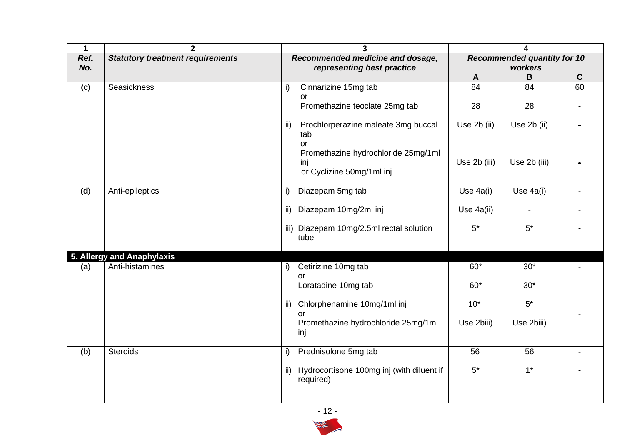| $\mathbf 1$ | $\overline{2}$                          | 3                                                                       | 4                                             |              |             |
|-------------|-----------------------------------------|-------------------------------------------------------------------------|-----------------------------------------------|--------------|-------------|
| Ref.<br>No. | <b>Statutory treatment requirements</b> | Recommended medicine and dosage,<br>representing best practice          | <b>Recommended quantity for 10</b><br>workers |              |             |
|             |                                         |                                                                         | $\mathsf{A}$                                  | B            | $\mathbf C$ |
| (c)         | Seasickness                             | Cinnarizine 15mg tab<br>i)<br>or<br>Promethazine teoclate 25mg tab      | 84<br>28                                      | 84<br>28     | 60          |
|             |                                         | Prochlorperazine maleate 3mg buccal<br>ii)<br>tab<br>or                 | Use 2b (ii)                                   | Use 2b (ii)  |             |
|             |                                         | Promethazine hydrochloride 25mg/1ml<br>inj<br>or Cyclizine 50mg/1ml inj | Use 2b (iii)                                  | Use 2b (iii) |             |
| (d)         | Anti-epileptics                         | Diazepam 5mg tab<br>i)                                                  | Use 4a(i)                                     | Use 4a(i)    |             |
|             |                                         | Diazepam 10mg/2ml inj<br>$\mathsf{ii}$                                  | Use 4a(ii)                                    |              |             |
|             |                                         | iii) Diazepam 10mg/2.5ml rectal solution<br>tube                        | $5^*$                                         | $5^*$        |             |
|             | 5. Allergy and Anaphylaxis              |                                                                         |                                               |              |             |
| (a)         | Anti-histamines                         | Cetirizine 10mg tab<br>i)<br>$\alpha$                                   | $60*$                                         | $30*$        |             |
|             |                                         | Loratadine 10mg tab                                                     | $60*$                                         | $30*$        |             |
|             |                                         | Chlorphenamine 10mg/1ml inj<br>ii)                                      | $10*$                                         | $5*$         |             |
|             |                                         | or<br>Promethazine hydrochloride 25mg/1ml<br>inj                        | Use 2biii)                                    | Use 2biii)   |             |
| (b)         | <b>Steroids</b>                         | Prednisolone 5mg tab<br>i)                                              | 56                                            | 56           |             |
|             |                                         | Hydrocortisone 100mg inj (with diluent if<br>ii)<br>required)           | $5*$                                          | $1^*$        |             |

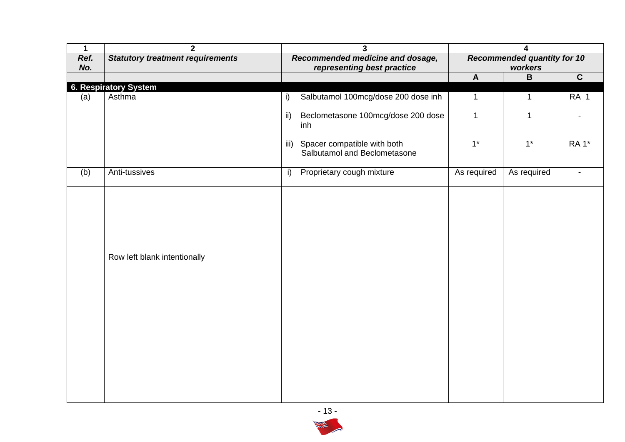| $\mathbf 1$ | $\overline{\mathbf{2}}$                 | $\overline{\mathbf{3}}$                                             | 4                                             |              |                 |
|-------------|-----------------------------------------|---------------------------------------------------------------------|-----------------------------------------------|--------------|-----------------|
| Ref.<br>No. | <b>Statutory treatment requirements</b> | Recommended medicine and dosage,<br>representing best practice      | <b>Recommended quantity for 10</b><br>workers |              |                 |
|             |                                         |                                                                     | $\boldsymbol{\mathsf{A}}$                     | $\, {\bf B}$ | $\mathbf{C}$    |
|             | <b>6. Respiratory System</b>            |                                                                     |                                               |              |                 |
| (a)         | Asthma                                  | Salbutamol 100mcg/dose 200 dose inh<br>$\mathsf{i}$                 | $\mathbf{1}$                                  | $\mathbf 1$  | RA <sub>1</sub> |
|             |                                         | $\mathsf{ii}$<br>Beclometasone 100mcg/dose 200 dose<br>inh          | $\mathbf{1}$                                  |              |                 |
|             |                                         | Spacer compatible with both<br>iii)<br>Salbutamol and Beclometasone | $1^*$                                         | $1*$         | <b>RA1</b> *    |
| (b)         | Anti-tussives                           | Proprietary cough mixture<br>i)                                     | As required                                   | As required  | $\blacksquare$  |
|             | Row left blank intentionally            |                                                                     |                                               |              |                 |

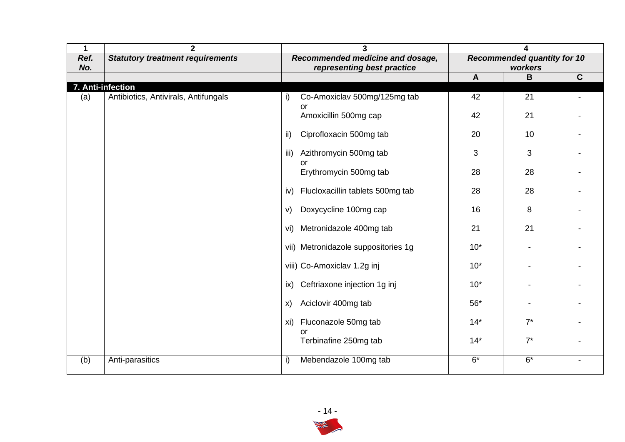| 1    | $\mathbf{2}$                            | 3                                        | 4                                  |              |             |
|------|-----------------------------------------|------------------------------------------|------------------------------------|--------------|-------------|
| Ref. | <b>Statutory treatment requirements</b> | Recommended medicine and dosage,         | <b>Recommended quantity for 10</b> |              |             |
| No.  |                                         | representing best practice               | $\mathbf{A}$                       | workers<br>B | $\mathbf C$ |
|      | 7. Anti-infection                       |                                          |                                    |              |             |
| (a)  | Antibiotics, Antivirals, Antifungals    | Co-Amoxiclav 500mg/125mg tab<br>i)<br>or | 42                                 | 21           |             |
|      |                                         | Amoxicillin 500mg cap                    | 42                                 | 21           |             |
|      |                                         | Ciprofloxacin 500mg tab<br>ii)           | 20                                 | 10           |             |
|      |                                         | Azithromycin 500mg tab<br>iii)<br>or     | 3                                  | 3            |             |
|      |                                         | Erythromycin 500mg tab                   | 28                                 | 28           |             |
|      |                                         | Flucloxacillin tablets 500mg tab<br>iv)  | 28                                 | 28           |             |
|      |                                         | Doxycycline 100mg cap<br>V)              | 16                                 | 8            |             |
|      |                                         | Metronidazole 400mg tab<br>vi)           | 21                                 | 21           |             |
|      |                                         | vii) Metronidazole suppositories 1g      | $10*$                              |              |             |
|      |                                         | viii) Co-Amoxiclav 1.2g inj              | $10*$                              |              |             |
|      |                                         | Ceftriaxone injection 1g inj<br>ix)      | $10*$                              |              |             |
|      |                                         | Aciclovir 400mg tab<br>X)                | $56*$                              |              |             |
|      |                                         | Fluconazole 50mg tab<br>xi)<br>or        | $14*$                              | $7^*$        |             |
|      |                                         | Terbinafine 250mg tab                    | $14*$                              | $7^*$        |             |
| (b)  | Anti-parasitics                         | Mebendazole 100mg tab<br>i)              | $6*$                               | $6*$         |             |

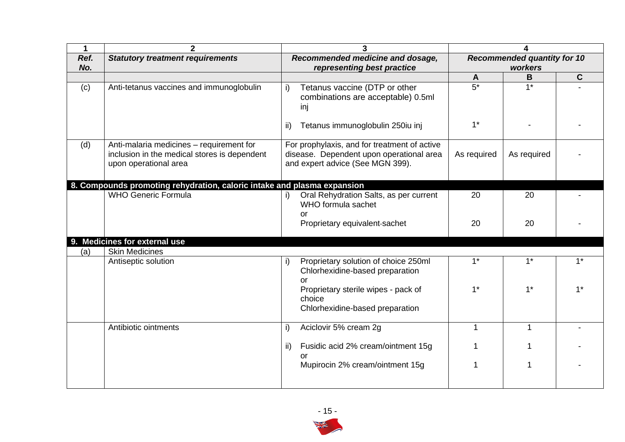| 1           | $\mathbf{2}$                                                                                                      | 3                                                                                                                            |                                               |             |             |
|-------------|-------------------------------------------------------------------------------------------------------------------|------------------------------------------------------------------------------------------------------------------------------|-----------------------------------------------|-------------|-------------|
| Ref.<br>No. | <b>Statutory treatment requirements</b>                                                                           | Recommended medicine and dosage,<br>representing best practice                                                               | <b>Recommended quantity for 10</b><br>workers |             |             |
|             |                                                                                                                   |                                                                                                                              | $\mathbf{A}$                                  | $\mathbf B$ | $\mathbf C$ |
| (c)         | Anti-tetanus vaccines and immunoglobulin                                                                          | Tetanus vaccine (DTP or other<br>i)<br>combinations are acceptable) 0.5ml<br>inj                                             | $5*$                                          | $1*$        |             |
|             |                                                                                                                   | Tetanus immunoglobulin 250iu inj<br>-ii)                                                                                     | $1^*$                                         |             |             |
| (d)         | Anti-malaria medicines - requirement for<br>inclusion in the medical stores is dependent<br>upon operational area | For prophylaxis, and for treatment of active<br>disease. Dependent upon operational area<br>and expert advice (See MGN 399). | As required                                   | As required |             |
|             | 8. Compounds promoting rehydration, caloric intake and plasma expansion                                           |                                                                                                                              |                                               |             |             |
|             | <b>WHO Generic Formula</b>                                                                                        | Oral Rehydration Salts, as per current<br>WHO formula sachet<br>or                                                           | 20                                            | 20          |             |
|             |                                                                                                                   | Proprietary equivalent-sachet                                                                                                | 20                                            | 20          |             |
|             | 9. Medicines for external use                                                                                     |                                                                                                                              |                                               |             |             |
| (a)         | <b>Skin Medicines</b>                                                                                             |                                                                                                                              |                                               |             |             |
|             | Antiseptic solution                                                                                               | Proprietary solution of choice 250ml<br>i)<br>Chlorhexidine-based preparation<br>or                                          | $1^*$                                         | $1^*$       | $1^*$       |
|             |                                                                                                                   | Proprietary sterile wipes - pack of<br>choice<br>Chlorhexidine-based preparation                                             | $1^*$                                         | $1^*$       | $1^*$       |
|             | Antibiotic ointments                                                                                              | Aciclovir 5% cream 2g<br>i)                                                                                                  | 1                                             | 1           |             |
|             |                                                                                                                   | Fusidic acid 2% cream/ointment 15g<br>ii)<br>or                                                                              |                                               |             |             |
|             |                                                                                                                   | Mupirocin 2% cream/ointment 15g                                                                                              |                                               |             |             |

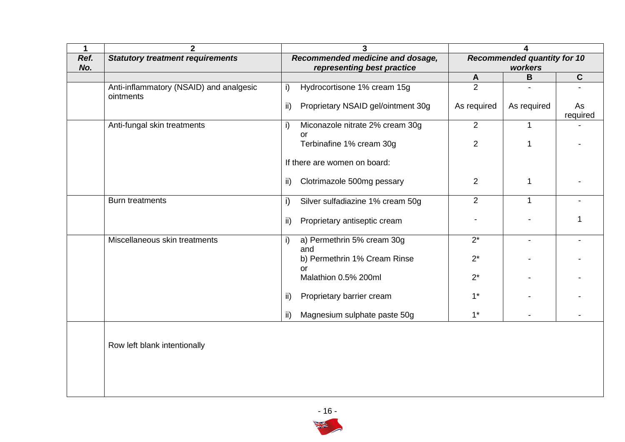| $\mathbf 1$ | $\overline{2}$                                       | 3                                                              | 4                                             |                |                |
|-------------|------------------------------------------------------|----------------------------------------------------------------|-----------------------------------------------|----------------|----------------|
| Ref.<br>No. | <b>Statutory treatment requirements</b>              | Recommended medicine and dosage,<br>representing best practice | <b>Recommended quantity for 10</b><br>workers |                |                |
|             |                                                      |                                                                | $\mathbf{A}$                                  | B              | $\mathbf{C}$   |
|             | Anti-inflammatory (NSAID) and analgesic<br>ointments | Hydrocortisone 1% cream 15g<br>i)                              | 2                                             |                |                |
|             |                                                      | ii)<br>Proprietary NSAID gel/ointment 30g                      | As required                                   | As required    | As<br>required |
|             | Anti-fungal skin treatments                          | Miconazole nitrate 2% cream 30g<br>$\mathsf{i}$<br>or          | 2                                             | $\mathbf{1}$   |                |
|             |                                                      | Terbinafine 1% cream 30g                                       | $\overline{2}$                                | 1              |                |
|             |                                                      | If there are women on board:                                   |                                               |                |                |
|             |                                                      | Clotrimazole 500mg pessary<br>$\mathsf{ii}$                    | $\overline{2}$                                | 1              |                |
|             | <b>Burn treatments</b>                               | i)<br>Silver sulfadiazine 1% cream 50g                         | $\overline{2}$                                | $\mathbf{1}$   |                |
|             |                                                      | ii)<br>Proprietary antiseptic cream                            |                                               |                | 1              |
|             | Miscellaneous skin treatments                        | a) Permethrin 5% cream 30g<br>i)<br>and                        | $2^*$                                         | $\blacksquare$ |                |
|             |                                                      | b) Permethrin 1% Cream Rinse<br>or                             | $2^*$                                         |                |                |
|             |                                                      | Malathion 0.5% 200ml                                           | $2^*$                                         |                |                |
|             |                                                      | Proprietary barrier cream<br>ii)                               | $1^*$                                         |                |                |
|             |                                                      | Magnesium sulphate paste 50g<br>ii)                            | $1^*$                                         |                |                |
|             | Row left blank intentionally                         |                                                                |                                               |                |                |
|             |                                                      |                                                                |                                               |                |                |

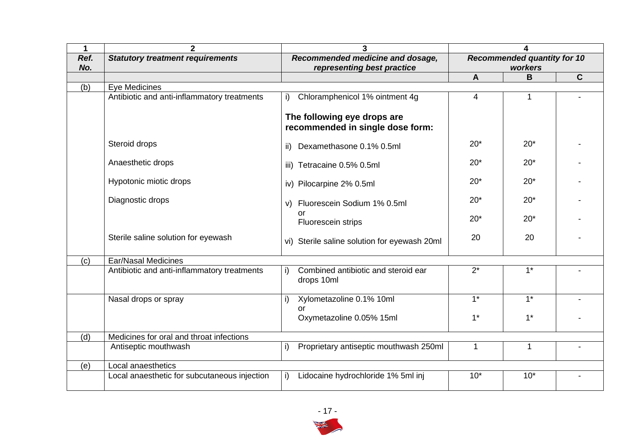| 1           | $\overline{2}$                               | 3                                                               |                                               |       |             |
|-------------|----------------------------------------------|-----------------------------------------------------------------|-----------------------------------------------|-------|-------------|
| Ref.<br>No. | <b>Statutory treatment requirements</b>      | Recommended medicine and dosage,<br>representing best practice  | <b>Recommended quantity for 10</b><br>workers |       |             |
|             |                                              |                                                                 | $\mathbf{A}$                                  | B     | $\mathbf C$ |
| (b)         | Eye Medicines                                |                                                                 |                                               |       |             |
|             | Antibiotic and anti-inflammatory treatments  | Chloramphenicol 1% ointment 4g<br>i)                            | 4                                             | 1     |             |
|             |                                              | The following eye drops are<br>recommended in single dose form: |                                               |       |             |
|             | Steroid drops                                | Dexamethasone 0.1% 0.5ml<br>ii)                                 | $20*$                                         | $20*$ |             |
|             | Anaesthetic drops                            | iii) Tetracaine 0.5% 0.5ml                                      | $20*$                                         | $20*$ |             |
|             | Hypotonic miotic drops                       | iv) Pilocarpine 2% 0.5ml                                        | $20*$                                         | $20*$ |             |
|             | Diagnostic drops                             | v) Fluorescein Sodium 1% 0.5ml                                  | $20*$                                         | $20*$ |             |
|             |                                              | or<br>Fluorescein strips                                        | $20*$                                         | $20*$ |             |
|             | Sterile saline solution for eyewash          | vi) Sterile saline solution for eyewash 20ml                    | 20                                            | 20    |             |
| (c)         | <b>Ear/Nasal Medicines</b>                   |                                                                 |                                               |       |             |
|             | Antibiotic and anti-inflammatory treatments  | Combined antibiotic and steroid ear<br>i)<br>drops 10ml         | $2^*$                                         | $1^*$ |             |
|             | Nasal drops or spray                         | i)<br>Xylometazoline 0.1% 10ml<br>Ωr                            | $1^*$                                         | $1^*$ |             |
|             |                                              | Oxymetazoline 0.05% 15ml                                        | $1*$                                          | $1^*$ |             |
| (d)         | Medicines for oral and throat infections     |                                                                 |                                               |       |             |
|             | Antiseptic mouthwash                         | Proprietary antiseptic mouthwash 250ml<br>i)                    | 1                                             | 1     |             |
| (e)         | Local anaesthetics                           |                                                                 |                                               |       |             |
|             | Local anaesthetic for subcutaneous injection | Lidocaine hydrochloride 1% 5ml inj<br>i)                        | $10*$                                         | $10*$ |             |

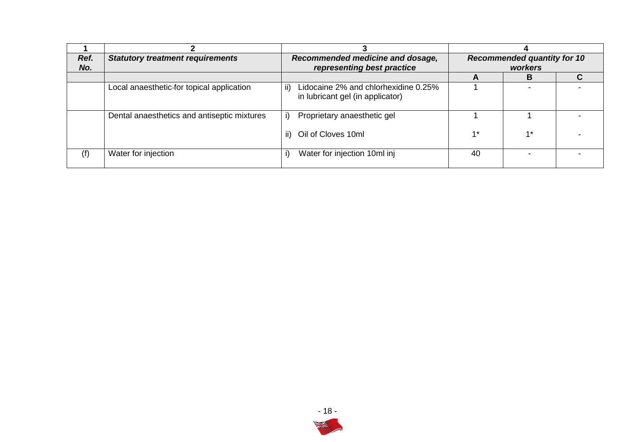| Ref.<br>No. | <b>Statutory treatment requirements</b>     | Recommended medicine and dosage,<br>representing best practice                  |      | <b>Recommended quantity for 10</b><br>workers |  |  |
|-------------|---------------------------------------------|---------------------------------------------------------------------------------|------|-----------------------------------------------|--|--|
|             |                                             |                                                                                 |      | В                                             |  |  |
|             | Local anaesthetic-for topical application   | Lidocaine 2% and chlorhexidine 0.25%<br>ii)<br>in lubricant gel (in applicator) |      |                                               |  |  |
|             | Dental anaesthetics and antiseptic mixtures | Proprietary anaesthetic gel                                                     |      |                                               |  |  |
|             |                                             | ii) Oil of Cloves 10ml                                                          | $4*$ | $1*$                                          |  |  |
| (f)         | Water for injection                         | Water for injection 10ml inj                                                    | 40   | -                                             |  |  |

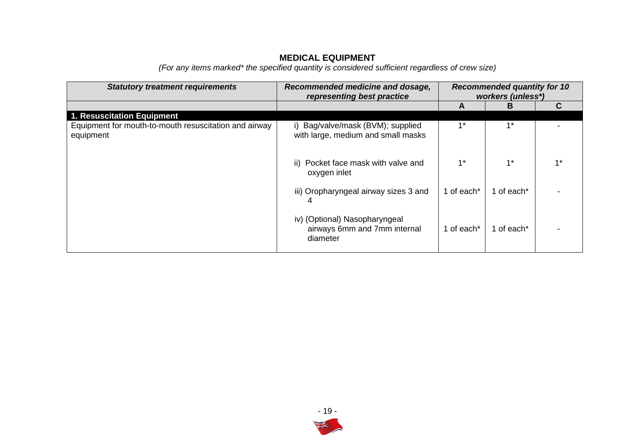## **MEDICAL EQUIPMENT**

*(For any items marked\* the specified quantity is considered sufficient regardless of crew size)* 

| <b>Statutory treatment requirements</b>                            | Recommended medicine and dosage,<br>representing best practice            | <b>Recommended quantity for 10</b><br>workers (unless*) |            |      |
|--------------------------------------------------------------------|---------------------------------------------------------------------------|---------------------------------------------------------|------------|------|
|                                                                    |                                                                           | А                                                       | в          | C    |
| 1. Resuscitation Equipment                                         |                                                                           |                                                         |            |      |
| Equipment for mouth-to-mouth resuscitation and airway<br>equipment | i) Bag/valve/mask (BVM); supplied<br>with large, medium and small masks   | $4*$                                                    | $1^*$      |      |
|                                                                    | Pocket face mask with valve and<br>ii)<br>oxygen inlet                    | $1*$                                                    | $1^*$      | $4*$ |
|                                                                    | iii) Oropharyngeal airway sizes 3 and<br>4                                | 1 of each*                                              | 1 of each* |      |
|                                                                    | iv) (Optional) Nasopharyngeal<br>airways 6mm and 7mm internal<br>diameter | 1 of each*                                              | 1 of each* |      |

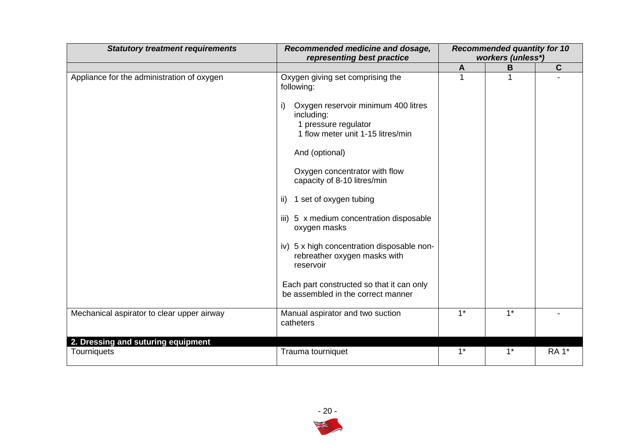| <b>Statutory treatment requirements</b>    | Recommended medicine and dosage,<br>representing best practice                                                                                                                                                                                                                                                                                                                                                                                                                                                                | <b>Recommended quantity for 10</b><br>workers (unless*) |       |              |
|--------------------------------------------|-------------------------------------------------------------------------------------------------------------------------------------------------------------------------------------------------------------------------------------------------------------------------------------------------------------------------------------------------------------------------------------------------------------------------------------------------------------------------------------------------------------------------------|---------------------------------------------------------|-------|--------------|
|                                            |                                                                                                                                                                                                                                                                                                                                                                                                                                                                                                                               | A                                                       | B     | $\mathbf{C}$ |
| Appliance for the administration of oxygen | Oxygen giving set comprising the<br>following:<br>Oxygen reservoir minimum 400 litres<br>including:<br>1 pressure regulator<br>1 flow meter unit 1-15 litres/min<br>And (optional)<br>Oxygen concentrator with flow<br>capacity of 8-10 litres/min<br>1 set of oxygen tubing<br>ii)<br>iii) 5 x medium concentration disposable<br>oxygen masks<br>iv) 5 x high concentration disposable non-<br>rebreather oxygen masks with<br>reservoir<br>Each part constructed so that it can only<br>be assembled in the correct manner |                                                         |       |              |
| Mechanical aspirator to clear upper airway | Manual aspirator and two suction<br>catheters                                                                                                                                                                                                                                                                                                                                                                                                                                                                                 | $1*$                                                    | $1^*$ |              |
| 2. Dressing and suturing equipment         |                                                                                                                                                                                                                                                                                                                                                                                                                                                                                                                               |                                                         |       |              |
| Tourniquets                                | Trauma tourniquet                                                                                                                                                                                                                                                                                                                                                                                                                                                                                                             | $1^*$                                                   | $1^*$ | <b>RA1*</b>  |

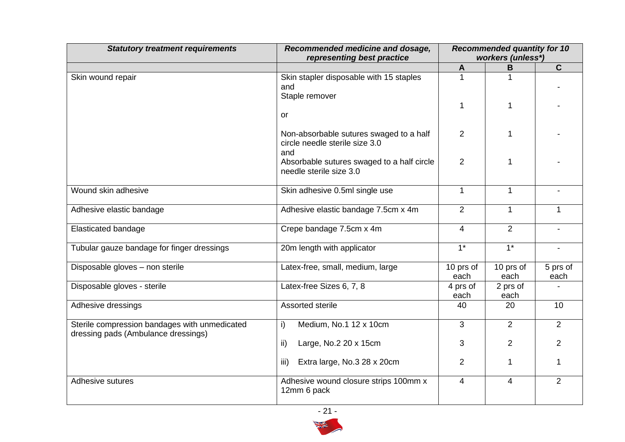| <b>Statutory treatment requirements</b>                                              | Recommended medicine and dosage,<br>representing best practice                   | <b>Recommended quantity for 10</b><br>workers (unless*) |                   |                          |
|--------------------------------------------------------------------------------------|----------------------------------------------------------------------------------|---------------------------------------------------------|-------------------|--------------------------|
|                                                                                      |                                                                                  | A                                                       | В                 | $\mathbf{C}$             |
| Skin wound repair                                                                    | Skin stapler disposable with 15 staples<br>and<br>Staple remover                 | 1                                                       |                   |                          |
|                                                                                      | <b>or</b>                                                                        | 1                                                       | 1                 |                          |
|                                                                                      | Non-absorbable sutures swaged to a half<br>circle needle sterile size 3.0<br>and | 2                                                       |                   |                          |
|                                                                                      | Absorbable sutures swaged to a half circle<br>needle sterile size 3.0            | $\overline{2}$                                          | 1                 |                          |
| Wound skin adhesive                                                                  | Skin adhesive 0.5ml single use                                                   | $\mathbf{1}$                                            | $\mathbf{1}$      | $\blacksquare$           |
| Adhesive elastic bandage                                                             | Adhesive elastic bandage 7.5cm x 4m                                              | $\overline{2}$                                          | $\mathbf{1}$      | $\mathbf{1}$             |
| Elasticated bandage                                                                  | Crepe bandage 7.5cm x 4m                                                         | $\overline{4}$                                          | 2                 | $\blacksquare$           |
| Tubular gauze bandage for finger dressings                                           | 20m length with applicator                                                       | $\overline{1^*}$                                        | $\overline{1^*}$  | $\overline{\phantom{a}}$ |
| Disposable gloves - non sterile                                                      | Latex-free, small, medium, large                                                 | 10 prs of<br>each                                       | 10 prs of<br>each | 5 prs of<br>each         |
| Disposable gloves - sterile                                                          | Latex-free Sizes 6, 7, 8                                                         | 4 prs of<br>each                                        | 2 prs of<br>each  |                          |
| Adhesive dressings                                                                   | Assorted sterile                                                                 | 40                                                      | 20                | 10                       |
| Sterile compression bandages with unmedicated<br>dressing pads (Ambulance dressings) | Medium, No.1 12 x 10cm<br>i)                                                     | 3                                                       | 2                 | $\overline{2}$           |
|                                                                                      | ii)<br>Large, No.2 20 x 15cm                                                     | 3                                                       | $\overline{2}$    | $\overline{2}$           |
|                                                                                      | Extra large, No.3 28 x 20cm<br>iii)                                              | $\overline{2}$                                          | 1                 | $\mathbf{1}$             |
| Adhesive sutures                                                                     | Adhesive wound closure strips 100mm x<br>12mm 6 pack                             | 4                                                       | $\overline{4}$    | $\overline{2}$           |

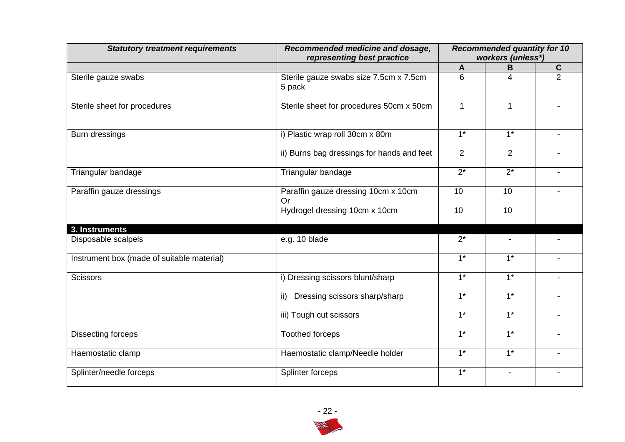| <b>Statutory treatment requirements</b>    | Recommended medicine and dosage,<br>representing best practice | <b>Recommended quantity for 10</b><br>workers (unless*) |                  |                |
|--------------------------------------------|----------------------------------------------------------------|---------------------------------------------------------|------------------|----------------|
|                                            |                                                                | $\mathbf{A}$                                            | B                | $rac{c}{2}$    |
| Sterile gauze swabs                        | Sterile gauze swabs size 7.5cm x 7.5cm<br>5 pack               | 6                                                       | 4                |                |
| Sterile sheet for procedures               | Sterile sheet for procedures 50cm x 50cm                       | $\mathbf{1}$                                            | $\mathbf{1}$     |                |
| Burn dressings                             | i) Plastic wrap roll 30cm x 80m                                | $1*$                                                    | $1^*$            |                |
|                                            | ii) Burns bag dressings for hands and feet                     | $\overline{2}$                                          | $\overline{2}$   |                |
| Triangular bandage                         | Triangular bandage                                             | $2^*$                                                   | $2^*$            | $\blacksquare$ |
| Paraffin gauze dressings                   | Paraffin gauze dressing 10cm x 10cm<br>Or                      | 10                                                      | 10               |                |
|                                            | Hydrogel dressing 10cm x 10cm                                  | 10                                                      | 10               |                |
| 3. Instruments                             |                                                                |                                                         |                  |                |
| Disposable scalpels                        | e.g. 10 blade                                                  | $2^*$                                                   |                  |                |
| Instrument box (made of suitable material) |                                                                | $\overline{1^*}$                                        | $\overline{1^*}$ |                |
| <b>Scissors</b>                            | i) Dressing scissors blunt/sharp                               | $1^*$                                                   | $1^*$            |                |
|                                            | ii) Dressing scissors sharp/sharp                              | $1^*$                                                   | $1*$             |                |
|                                            | iii) Tough cut scissors                                        | $1^*$                                                   | $1*$             |                |
| Dissecting forceps                         | <b>Toothed forceps</b>                                         | $1^*$                                                   | $1*$             |                |
| Haemostatic clamp                          | Haemostatic clamp/Needle holder                                | $\overline{1^*}$                                        | $\overline{1^*}$ |                |
| Splinter/needle forceps                    | Splinter forceps                                               | $\overline{1^*}$                                        |                  |                |

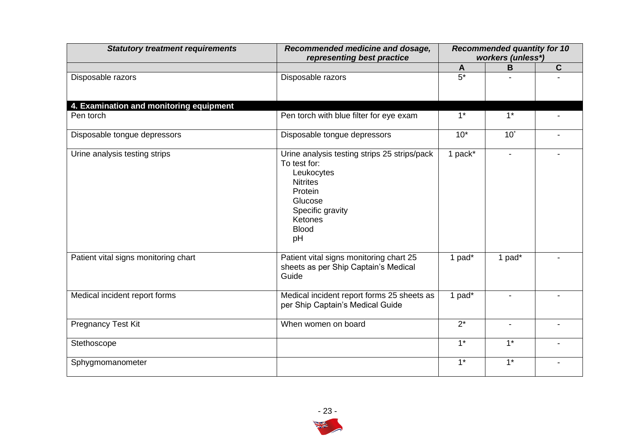| <b>Statutory treatment requirements</b> | Recommended medicine and dosage,<br>representing best practice                                                                                                           | <b>Recommended quantity for 10</b><br>workers (unless*) |                  |                |
|-----------------------------------------|--------------------------------------------------------------------------------------------------------------------------------------------------------------------------|---------------------------------------------------------|------------------|----------------|
|                                         |                                                                                                                                                                          | $\mathsf{A}$                                            | B                | $\mathbf C$    |
| Disposable razors                       | Disposable razors                                                                                                                                                        | $5*$                                                    |                  |                |
| 4. Examination and monitoring equipment |                                                                                                                                                                          |                                                         |                  |                |
| Pen torch                               | Pen torch with blue filter for eye exam                                                                                                                                  | $1^*$                                                   | $1^*$            |                |
| Disposable tongue depressors            | Disposable tongue depressors                                                                                                                                             | $10*$                                                   | $10^{\degree}$   |                |
| Urine analysis testing strips           | Urine analysis testing strips 25 strips/pack<br>To test for:<br>Leukocytes<br><b>Nitrites</b><br>Protein<br>Glucose<br>Specific gravity<br>Ketones<br><b>Blood</b><br>pH | 1 pack*                                                 | $\blacksquare$   |                |
| Patient vital signs monitoring chart    | Patient vital signs monitoring chart 25<br>sheets as per Ship Captain's Medical<br>Guide                                                                                 | 1 pad*                                                  | 1 pad*           |                |
| Medical incident report forms           | Medical incident report forms 25 sheets as<br>per Ship Captain's Medical Guide                                                                                           | 1 pad*                                                  |                  |                |
| <b>Pregnancy Test Kit</b>               | When women on board                                                                                                                                                      | $2^*$                                                   | $\blacksquare$   |                |
| Stethoscope                             |                                                                                                                                                                          | $\overline{1^*}$                                        | $1^*$            | $\blacksquare$ |
| Sphygmomanometer                        |                                                                                                                                                                          | $1*$                                                    | $\overline{1^*}$ |                |

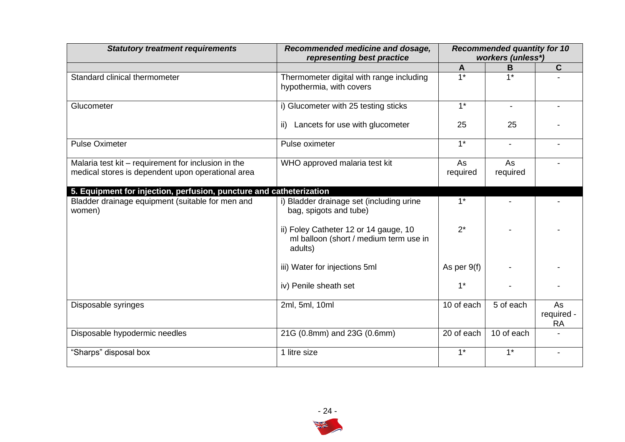| <b>Statutory treatment requirements</b>                             | Recommended medicine and dosage,<br>representing best practice                             |                  | <b>Recommended quantity for 10</b><br>workers (unless*) |                               |  |
|---------------------------------------------------------------------|--------------------------------------------------------------------------------------------|------------------|---------------------------------------------------------|-------------------------------|--|
|                                                                     |                                                                                            | A                | B                                                       | C.                            |  |
| Standard clinical thermometer                                       | Thermometer digital with range including<br>hypothermia, with covers                       | $\overline{1*}$  | $1*$                                                    |                               |  |
| Glucometer                                                          | i) Glucometer with 25 testing sticks                                                       | $\overline{1^*}$ | $\blacksquare$                                          |                               |  |
|                                                                     | Lancets for use with glucometer<br>ii)                                                     | 25               | 25                                                      |                               |  |
| <b>Pulse Oximeter</b>                                               | Pulse oximeter                                                                             | $1^*$            | $\blacksquare$                                          |                               |  |
| Malaria test kit - requirement for inclusion in the                 | WHO approved malaria test kit                                                              | As               | As                                                      |                               |  |
| medical stores is dependent upon operational area                   |                                                                                            | required         | required                                                |                               |  |
|                                                                     |                                                                                            |                  |                                                         |                               |  |
| 5. Equipment for injection, perfusion, puncture and catheterization |                                                                                            |                  |                                                         |                               |  |
| Bladder drainage equipment (suitable for men and<br>women)          | i) Bladder drainage set (including urine<br>bag, spigots and tube)                         | $1*$             |                                                         |                               |  |
|                                                                     | ii) Foley Catheter 12 or 14 gauge, 10<br>ml balloon (short / medium term use in<br>adults) | $2^*$            |                                                         |                               |  |
|                                                                     | iii) Water for injections 5ml                                                              | As per 9(f)      |                                                         |                               |  |
|                                                                     | iv) Penile sheath set                                                                      | $1^*$            |                                                         |                               |  |
| Disposable syringes                                                 | 2ml, 5ml, 10ml                                                                             | 10 of each       | 5 of each                                               | As<br>required -<br><b>RA</b> |  |
| Disposable hypodermic needles                                       | 21G (0.8mm) and 23G (0.6mm)                                                                | 20 of each       | 10 of each                                              |                               |  |
| "Sharps" disposal box                                               | 1 litre size                                                                               | $1^*$            | $1^*$                                                   | $\blacksquare$                |  |

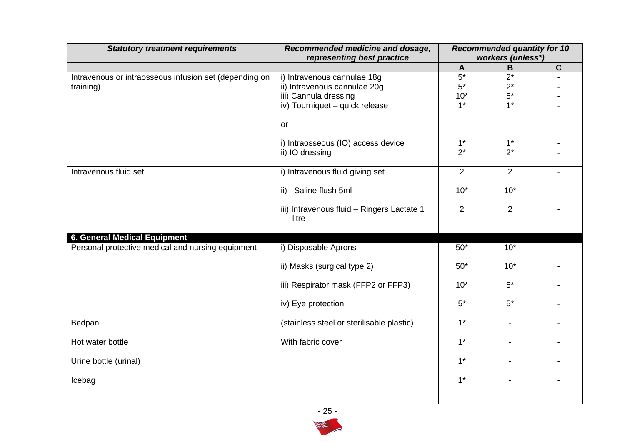| <b>Statutory treatment requirements</b>                             | Recommended medicine and dosage,<br>representing best practice | <b>Recommended quantity for 10</b><br>workers (unless*) |                |             |
|---------------------------------------------------------------------|----------------------------------------------------------------|---------------------------------------------------------|----------------|-------------|
|                                                                     |                                                                | A                                                       | $\, {\bf B}$   | $\mathbf C$ |
| Intravenous or intraosseous infusion set (depending on<br>training) | i) Intravenous cannulae 18g<br>ii) Intravenous cannulae 20g    | $5*$<br>$5*$                                            | $2^*$<br>$2^*$ |             |
|                                                                     | iii) Cannula dressing<br>iv) Tourniquet - quick release        | $10*$<br>$1*$                                           | $5*$<br>$1*$   |             |
|                                                                     | or                                                             |                                                         |                |             |
|                                                                     | i) Intraosseous (IO) access device<br>ii) IO dressing          | $1^*$<br>$2^*$                                          | $1^*$<br>$2^*$ |             |
| Intravenous fluid set                                               | i) Intravenous fluid giving set                                | $\overline{2}$                                          | $\overline{2}$ |             |
|                                                                     | ii) Saline flush 5ml                                           | $10*$                                                   | $10*$          |             |
|                                                                     | iii) Intravenous fluid - Ringers Lactate 1<br>litre            | $\overline{2}$                                          | $\overline{2}$ |             |
| 6. General Medical Equipment                                        |                                                                |                                                         |                |             |
| Personal protective medical and nursing equipment                   | i) Disposable Aprons                                           | $50*$                                                   | $10*$          |             |
|                                                                     | ii) Masks (surgical type 2)                                    | $50*$                                                   | $10*$          |             |
|                                                                     | iii) Respirator mask (FFP2 or FFP3)                            | $10*$                                                   | $5*$           |             |
|                                                                     | iv) Eye protection                                             | $5*$                                                    | $5*$           |             |
| Bedpan                                                              | (stainless steel or sterilisable plastic)                      | $\overline{1^*}$                                        | $\blacksquare$ |             |
| Hot water bottle                                                    | With fabric cover                                              | $1*$                                                    | $\blacksquare$ |             |
| Urine bottle (urinal)                                               |                                                                | $1*$                                                    | $\blacksquare$ |             |
| Icebag                                                              |                                                                | $1*$                                                    |                |             |

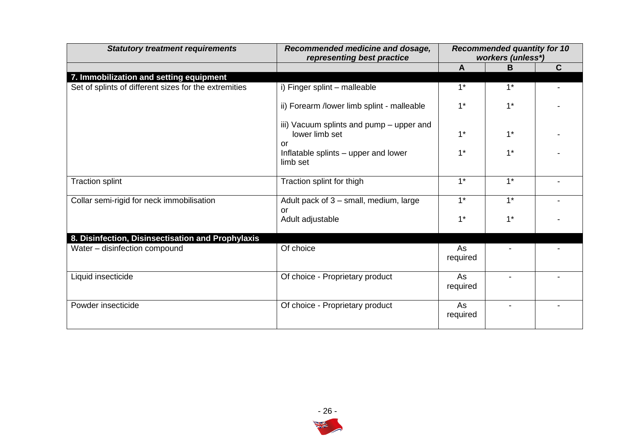| <b>Statutory treatment requirements</b>               | Recommended medicine and dosage,<br>representing best practice   | <b>Recommended quantity for 10</b><br>workers (unless*) |                  |   |
|-------------------------------------------------------|------------------------------------------------------------------|---------------------------------------------------------|------------------|---|
|                                                       |                                                                  | $\mathsf{A}$                                            | B                | C |
| 7. Immobilization and setting equipment               |                                                                  |                                                         |                  |   |
| Set of splints of different sizes for the extremities | i) Finger splint - malleable                                     | $1^*$                                                   | $1^*$            |   |
|                                                       | ii) Forearm /lower limb splint - malleable                       | $1*$                                                    | $1*$             |   |
|                                                       | iii) Vacuum splints and pump - upper and<br>lower limb set<br>or | $1*$                                                    | $1*$             |   |
|                                                       | Inflatable splints - upper and lower<br>limb set                 | $1*$                                                    | $1^*$            |   |
| <b>Traction splint</b>                                | Traction splint for thigh                                        | $1*$                                                    | $1*$             |   |
| Collar semi-rigid for neck immobilisation             | Adult pack of 3 - small, medium, large<br>or                     | $\overline{1^*}$                                        | $\overline{1^*}$ |   |
|                                                       | Adult adjustable                                                 | $1*$                                                    | $1*$             |   |
| 8. Disinfection, Disinsectisation and Prophylaxis     |                                                                  |                                                         |                  |   |
| Water - disinfection compound                         | Of choice                                                        | As<br>required                                          |                  |   |
| Liquid insecticide                                    | Of choice - Proprietary product                                  | As<br>required                                          |                  |   |
| Powder insecticide                                    | Of choice - Proprietary product                                  | As<br>required                                          |                  |   |

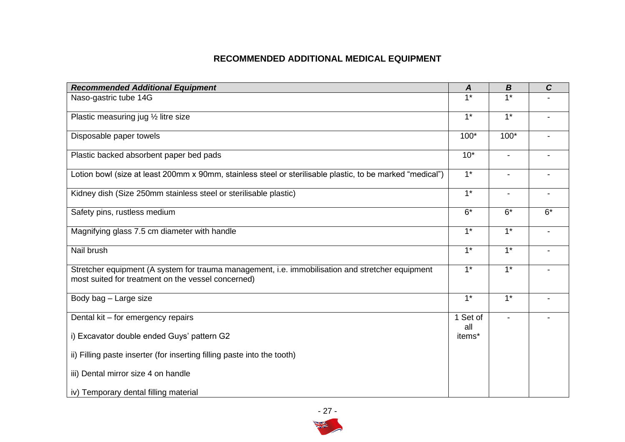## **RECOMMENDED ADDITIONAL MEDICAL EQUIPMENT**

| <b>Recommended Additional Equipment</b>                                                                                                                | A                | $\boldsymbol{B}$         | $\mathbf C$ |
|--------------------------------------------------------------------------------------------------------------------------------------------------------|------------------|--------------------------|-------------|
| Naso-gastric tube 14G                                                                                                                                  | $1*$             | $1*$                     |             |
| Plastic measuring jug 1/2 litre size                                                                                                                   | $1^*$            | $1^*$                    |             |
| Disposable paper towels                                                                                                                                | $100*$           | $100*$                   |             |
| Plastic backed absorbent paper bed pads                                                                                                                | $10*$            | $\overline{\phantom{a}}$ |             |
| Lotion bowl (size at least 200mm x 90mm, stainless steel or sterilisable plastic, to be marked "medical")                                              | $\overline{1^*}$ |                          |             |
| Kidney dish (Size 250mm stainless steel or sterilisable plastic)                                                                                       | $1*$             | $\blacksquare$           |             |
| Safety pins, rustless medium                                                                                                                           | $6*$             | $6*$                     | $6*$        |
| Magnifying glass 7.5 cm diameter with handle                                                                                                           | $1*$             | $1^*$                    |             |
| Nail brush                                                                                                                                             | $1*$             | $1^*$                    |             |
| Stretcher equipment (A system for trauma management, i.e. immobilisation and stretcher equipment<br>most suited for treatment on the vessel concerned) | $1^*$            | $1^*$                    |             |
| Body bag - Large size                                                                                                                                  | $1*$             | $1*$                     |             |
| Dental kit – for emergency repairs                                                                                                                     | 1 Set of<br>all  |                          |             |
| i) Excavator double ended Guys' pattern G2                                                                                                             | items*           |                          |             |
| ii) Filling paste inserter (for inserting filling paste into the tooth)                                                                                |                  |                          |             |
| iii) Dental mirror size 4 on handle                                                                                                                    |                  |                          |             |
| iv) Temporary dental filling material                                                                                                                  |                  |                          |             |

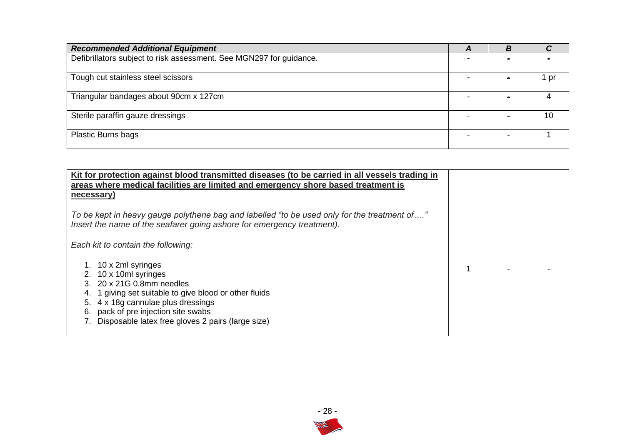| <b>Recommended Additional Equipment</b>                             | A | B |    |
|---------------------------------------------------------------------|---|---|----|
| Defibrillators subject to risk assessment. See MGN297 for guidance. |   |   |    |
| Tough cut stainless steel scissors                                  |   |   | pr |
| Triangular bandages about 90cm x 127cm                              |   |   |    |
| Sterile paraffin gauze dressings                                    |   |   | 10 |
| <b>Plastic Burns bags</b>                                           |   |   |    |

| Kit for protection against blood transmitted diseases (to be carried in all vessels trading in<br>areas where medical facilities are limited and emergency shore based treatment is<br>necessary)                                                             |  |  |
|---------------------------------------------------------------------------------------------------------------------------------------------------------------------------------------------------------------------------------------------------------------|--|--|
| To be kept in heavy gauge polythene bag and labelled "to be used only for the treatment of"<br>Insert the name of the seafarer going ashore for emergency treatment).                                                                                         |  |  |
| Each kit to contain the following:                                                                                                                                                                                                                            |  |  |
| 10 x 2ml syringes<br>10 x 10ml syringes<br>3. 20 x 21G 0.8mm needles<br>1 giving set suitable to give blood or other fluids<br>4 x 18g cannulae plus dressings<br>pack of pre injection site swabs<br>6.<br>Disposable latex free gloves 2 pairs (large size) |  |  |

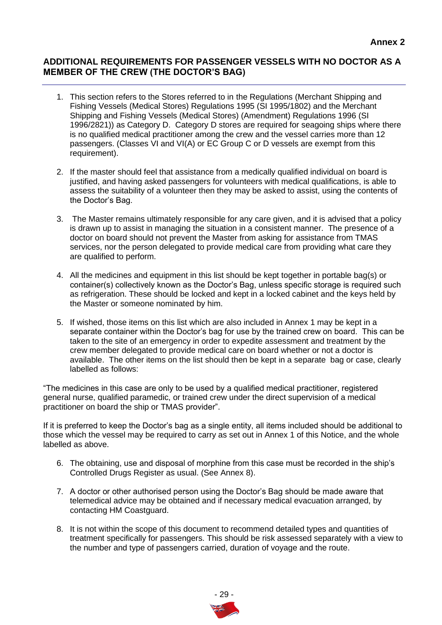## **ADDITIONAL REQUIREMENTS FOR PASSENGER VESSELS WITH NO DOCTOR AS A MEMBER OF THE CREW (THE DOCTOR'S BAG)**

- 1. This section refers to the Stores referred to in the Regulations (Merchant Shipping and Fishing Vessels (Medical Stores) Regulations 1995 (SI 1995/1802) and the Merchant Shipping and Fishing Vessels (Medical Stores) (Amendment) Regulations 1996 (SI 1996/2821)) as Category D. Category D stores are required for seagoing ships where there is no qualified medical practitioner among the crew and the vessel carries more than 12 passengers. (Classes VI and VI(A) or EC Group C or D vessels are exempt from this requirement).
- 2. If the master should feel that assistance from a medically qualified individual on board is justified, and having asked passengers for volunteers with medical qualifications, is able to assess the suitability of a volunteer then they may be asked to assist, using the contents of the Doctor's Bag.
- 3. The Master remains ultimately responsible for any care given, and it is advised that a policy is drawn up to assist in managing the situation in a consistent manner. The presence of a doctor on board should not prevent the Master from asking for assistance from TMAS services, nor the person delegated to provide medical care from providing what care they are qualified to perform.
- 4. All the medicines and equipment in this list should be kept together in portable bag(s) or container(s) collectively known as the Doctor's Bag, unless specific storage is required such as refrigeration. These should be locked and kept in a locked cabinet and the keys held by the Master or someone nominated by him.
- 5. If wished, those items on this list which are also included in Annex 1 may be kept in a separate container within the Doctor's bag for use by the trained crew on board. This can be taken to the site of an emergency in order to expedite assessment and treatment by the crew member delegated to provide medical care on board whether or not a doctor is available. The other items on the list should then be kept in a separate bag or case, clearly labelled as follows:

"The medicines in this case are only to be used by a qualified medical practitioner, registered general nurse, qualified paramedic, or trained crew under the direct supervision of a medical practitioner on board the ship or TMAS provider".

If it is preferred to keep the Doctor's bag as a single entity, all items included should be additional to those which the vessel may be required to carry as set out in Annex 1 of this Notice, and the whole labelled as above.

- 6. The obtaining, use and disposal of morphine from this case must be recorded in the ship's Controlled Drugs Register as usual. (See Annex 8).
- 7. A doctor or other authorised person using the Doctor's Bag should be made aware that telemedical advice may be obtained and if necessary medical evacuation arranged, by contacting HM Coastguard.
- 8. It is not within the scope of this document to recommend detailed types and quantities of treatment specifically for passengers. This should be risk assessed separately with a view to the number and type of passengers carried, duration of voyage and the route.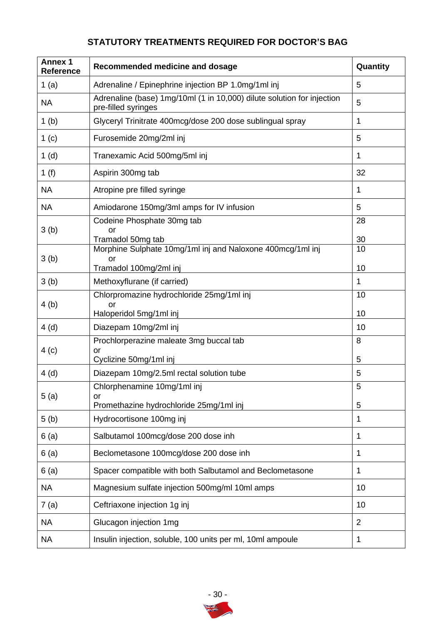## **STATUTORY TREATMENTS REQUIRED FOR DOCTOR'S BAG**

| <b>Annex 1</b><br>Reference | Recommended medicine and dosage                                                               | Quantity       |
|-----------------------------|-----------------------------------------------------------------------------------------------|----------------|
| 1 $(a)$                     | Adrenaline / Epinephrine injection BP 1.0mg/1ml inj                                           | 5              |
| <b>NA</b>                   | Adrenaline (base) 1mg/10ml (1 in 10,000) dilute solution for injection<br>pre-filled syringes | 5              |
| 1 <sub>(b)</sub>            | Glyceryl Trinitrate 400mcg/dose 200 dose sublingual spray                                     | 1              |
| 1 <sub>(c)</sub>            | Furosemide 20mg/2ml inj                                                                       | 5              |
| 1(d)                        | Tranexamic Acid 500mg/5ml inj                                                                 | 1              |
| 1 $(f)$                     | Aspirin 300mg tab                                                                             | 32             |
| <b>NA</b>                   | Atropine pre filled syringe                                                                   | 1              |
| <b>NA</b>                   | Amiodarone 150mg/3ml amps for IV infusion                                                     | 5              |
| 3(b)                        | Codeine Phosphate 30mg tab<br>or                                                              | 28             |
|                             | Tramadol 50mg tab                                                                             | 30             |
| 3(b)                        | Morphine Sulphate 10mg/1ml inj and Naloxone 400mcg/1ml inj<br>or                              | 10             |
|                             | Tramadol 100mg/2ml inj                                                                        | 10             |
| 3(b)                        | Methoxyflurane (if carried)                                                                   | 1              |
|                             | Chlorpromazine hydrochloride 25mg/1ml inj                                                     | 10             |
| 4(b)                        | <b>or</b><br>Haloperidol 5mg/1ml inj                                                          | 10             |
| 4(d)                        | Diazepam 10mg/2ml inj                                                                         | 10             |
|                             | Prochlorperazine maleate 3mg buccal tab                                                       | 8              |
| 4(c)                        | or<br>Cyclizine 50mg/1ml inj                                                                  | 5              |
| 4(d)                        | Diazepam 10mg/2.5ml rectal solution tube                                                      | 5              |
|                             | Chlorphenamine 10mg/1ml inj                                                                   | 5              |
| 5(a)                        | or<br>Promethazine hydrochloride 25mg/1ml inj                                                 | 5              |
| 5(b)                        | Hydrocortisone 100mg inj                                                                      | 1              |
| 6(a)                        | Salbutamol 100mcg/dose 200 dose inh                                                           | 1              |
| 6(a)                        | Beclometasone 100mcg/dose 200 dose inh                                                        | 1              |
| 6(a)                        | Spacer compatible with both Salbutamol and Beclometasone                                      | 1              |
| <b>NA</b>                   | Magnesium sulfate injection 500mg/ml 10ml amps                                                | 10             |
| 7(a)                        | Ceftriaxone injection 1g inj                                                                  | 10             |
| <b>NA</b>                   | Glucagon injection 1mg                                                                        | $\overline{2}$ |
| <b>NA</b>                   | Insulin injection, soluble, 100 units per ml, 10ml ampoule                                    | 1              |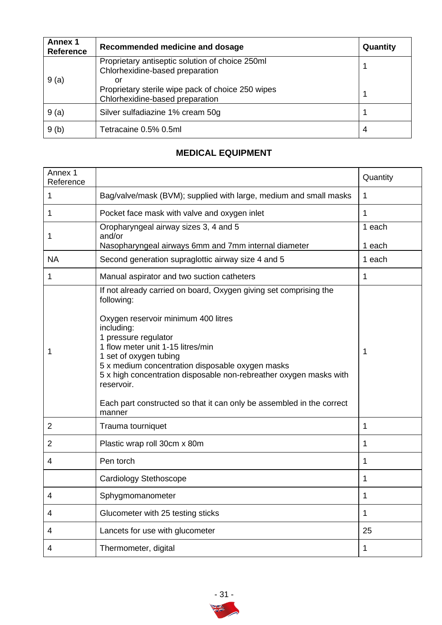| <b>Annex 1</b><br><b>Reference</b> | Recommended medicine and dosage                                                            | Quantity |
|------------------------------------|--------------------------------------------------------------------------------------------|----------|
|                                    | Proprietary antiseptic solution of choice 250ml<br>Chlorhexidine-based preparation         |          |
| 9(a)                               | or<br>Proprietary sterile wipe pack of choice 250 wipes<br>Chlorhexidine-based preparation |          |
| 9(a)                               | Silver sulfadiazine 1% cream 50g                                                           |          |
| 9(b)                               | Tetracaine 0.5% 0.5ml                                                                      | 4        |

## **MEDICAL EQUIPMENT**

| Annex 1<br>Reference |                                                                                                                                                                                                                                                                                                                                                                                                                                                        | Quantity         |  |  |
|----------------------|--------------------------------------------------------------------------------------------------------------------------------------------------------------------------------------------------------------------------------------------------------------------------------------------------------------------------------------------------------------------------------------------------------------------------------------------------------|------------------|--|--|
| 1                    | Bag/valve/mask (BVM); supplied with large, medium and small masks                                                                                                                                                                                                                                                                                                                                                                                      | 1                |  |  |
| 1                    | Pocket face mask with valve and oxygen inlet                                                                                                                                                                                                                                                                                                                                                                                                           | 1                |  |  |
| 1                    | Oropharyngeal airway sizes 3, 4 and 5<br>1 each<br>and/or<br>Nasopharyngeal airways 6mm and 7mm internal diameter                                                                                                                                                                                                                                                                                                                                      |                  |  |  |
| <b>NA</b>            | Second generation supraglottic airway size 4 and 5                                                                                                                                                                                                                                                                                                                                                                                                     | 1 each<br>1 each |  |  |
| 1                    | Manual aspirator and two suction catheters                                                                                                                                                                                                                                                                                                                                                                                                             | 1                |  |  |
| 1                    | If not already carried on board, Oxygen giving set comprising the<br>following:<br>Oxygen reservoir minimum 400 litres<br>including:<br>1 pressure regulator<br>1 flow meter unit 1-15 litres/min<br>1 set of oxygen tubing<br>5 x medium concentration disposable oxygen masks<br>5 x high concentration disposable non-rebreather oxygen masks with<br>reservoir.<br>Each part constructed so that it can only be assembled in the correct<br>manner | 1                |  |  |
| 2                    | Trauma tourniquet                                                                                                                                                                                                                                                                                                                                                                                                                                      | 1                |  |  |
| 2                    | Plastic wrap roll 30cm x 80m                                                                                                                                                                                                                                                                                                                                                                                                                           | 1                |  |  |
| 4                    | Pen torch                                                                                                                                                                                                                                                                                                                                                                                                                                              | 1                |  |  |
|                      | Cardiology Stethoscope                                                                                                                                                                                                                                                                                                                                                                                                                                 | 1                |  |  |
| 4                    | Sphygmomanometer                                                                                                                                                                                                                                                                                                                                                                                                                                       | 1                |  |  |
| 4                    | Glucometer with 25 testing sticks                                                                                                                                                                                                                                                                                                                                                                                                                      | $\mathbf{1}$     |  |  |
| 4                    | Lancets for use with glucometer                                                                                                                                                                                                                                                                                                                                                                                                                        | 25               |  |  |
| 4                    | Thermometer, digital                                                                                                                                                                                                                                                                                                                                                                                                                                   | $\mathbf 1$      |  |  |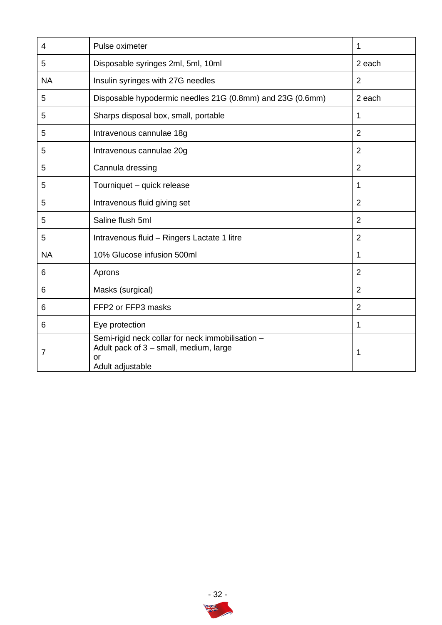| 4         | Pulse oximeter                                                                                                       | 1              |
|-----------|----------------------------------------------------------------------------------------------------------------------|----------------|
| 5         | Disposable syringes 2ml, 5ml, 10ml                                                                                   | 2 each         |
| <b>NA</b> | Insulin syringes with 27G needles                                                                                    | $\overline{2}$ |
| 5         | Disposable hypodermic needles 21G (0.8mm) and 23G (0.6mm)                                                            | 2 each         |
| 5         | Sharps disposal box, small, portable                                                                                 | 1              |
| 5         | Intravenous cannulae 18g                                                                                             | $\overline{2}$ |
| 5         | Intravenous cannulae 20g                                                                                             | $\overline{2}$ |
| 5         | Cannula dressing                                                                                                     | $\overline{2}$ |
| 5         | Tourniquet - quick release                                                                                           | 1              |
| 5         | Intravenous fluid giving set                                                                                         | $\overline{2}$ |
| 5         | Saline flush 5ml                                                                                                     | $\overline{2}$ |
| 5         | Intravenous fluid - Ringers Lactate 1 litre                                                                          | $\overline{2}$ |
| <b>NA</b> | 10% Glucose infusion 500ml                                                                                           | 1              |
| 6         | Aprons                                                                                                               | $\overline{2}$ |
| 6         | Masks (surgical)                                                                                                     | $\overline{2}$ |
| 6         | FFP2 or FFP3 masks                                                                                                   | $\overline{2}$ |
| 6         | Eye protection                                                                                                       | 1              |
| 7         | Semi-rigid neck collar for neck immobilisation -<br>Adult pack of 3 - small, medium, large<br>or<br>Adult adjustable | 1              |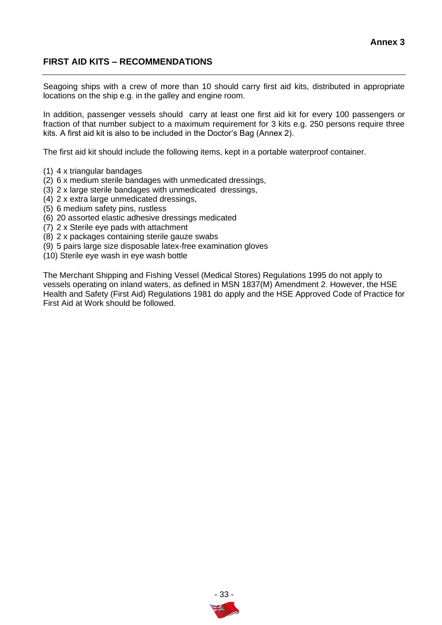## **FIRST AID KITS – RECOMMENDATIONS**

Seagoing ships with a crew of more than 10 should carry first aid kits, distributed in appropriate locations on the ship e.g. in the galley and engine room.

In addition, passenger vessels should carry at least one first aid kit for every 100 passengers or fraction of that number subject to a maximum requirement for 3 kits e.g. 250 persons require three kits. A first aid kit is also to be included in the Doctor's Bag (Annex 2).

The first aid kit should include the following items, kept in a portable waterproof container.

- (1) 4 x triangular bandages
- (2) 6 x medium sterile bandages with unmedicated dressings,
- (3) 2 x large sterile bandages with unmedicated dressings,
- (4) 2 x extra large unmedicated dressings,
- (5) 6 medium safety pins, rustless
- (6) 20 assorted elastic adhesive dressings medicated
- (7) 2 x Sterile eye pads with attachment
- (8) 2 x packages containing sterile gauze swabs
- (9) 5 pairs large size disposable latex-free examination gloves
- (10) Sterile eye wash in eye wash bottle

The Merchant Shipping and Fishing Vessel (Medical Stores) Regulations 1995 do not apply to vessels operating on inland waters, as defined in MSN 1837(M) Amendment 2. However, the HSE Health and Safety (First Aid) Regulations 1981 do apply and the HSE Approved Code of Practice for First Aid at Work should be followed.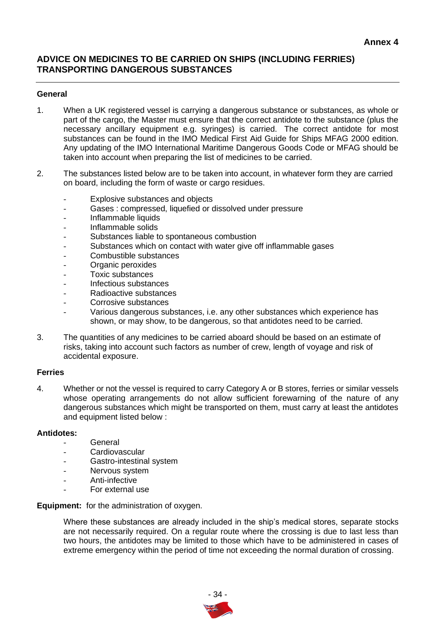## **ADVICE ON MEDICINES TO BE CARRIED ON SHIPS (INCLUDING FERRIES) TRANSPORTING DANGEROUS SUBSTANCES**

#### **General**

- 1. When a UK registered vessel is carrying a dangerous substance or substances, as whole or part of the cargo, the Master must ensure that the correct antidote to the substance (plus the necessary ancillary equipment e.g. syringes) is carried. The correct antidote for most substances can be found in the IMO Medical First Aid Guide for Ships MFAG 2000 edition. Any updating of the IMO International Maritime Dangerous Goods Code or MFAG should be taken into account when preparing the list of medicines to be carried.
- 2. The substances listed below are to be taken into account, in whatever form they are carried on board, including the form of waste or cargo residues.
	- Explosive substances and objects
	- Gases : compressed, liquefied or dissolved under pressure
	- Inflammable liquids
	- Inflammable solids
	- Substances liable to spontaneous combustion
	- Substances which on contact with water give off inflammable gases
	- Combustible substances
	- Organic peroxides
	- Toxic substances
	- Infectious substances
	- Radioactive substances
	- Corrosive substances
	- Various dangerous substances, i.e. any other substances which experience has shown, or may show, to be dangerous, so that antidotes need to be carried.
- 3. The quantities of any medicines to be carried aboard should be based on an estimate of risks, taking into account such factors as number of crew, length of voyage and risk of accidental exposure.

#### **Ferries**

4. Whether or not the vessel is required to carry Category A or B stores, ferries or similar vessels whose operating arrangements do not allow sufficient forewarning of the nature of any dangerous substances which might be transported on them, must carry at least the antidotes and equipment listed below :

#### **Antidotes:**

- **General**
- **Cardiovascular**
- Gastro-intestinal system
- Nervous system
- Anti-infective
- For external use

**Equipment:** for the administration of oxygen.

Where these substances are already included in the ship's medical stores, separate stocks are not necessarily required. On a regular route where the crossing is due to last less than two hours, the antidotes may be limited to those which have to be administered in cases of extreme emergency within the period of time not exceeding the normal duration of crossing.

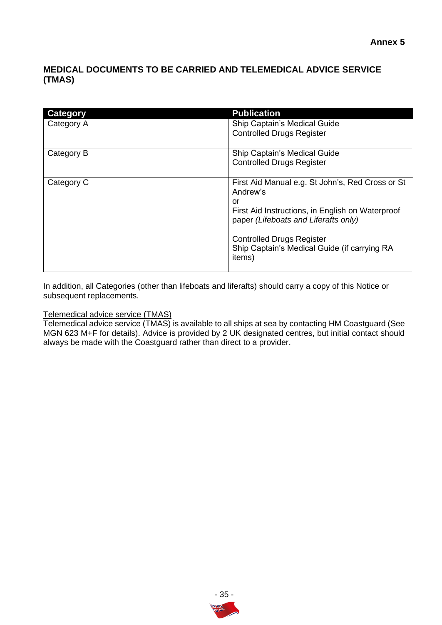## **MEDICAL DOCUMENTS TO BE CARRIED AND TELEMEDICAL ADVICE SERVICE (TMAS)**

| Category   | <b>Publication</b>                               |
|------------|--------------------------------------------------|
| Category A | Ship Captain's Medical Guide                     |
|            | <b>Controlled Drugs Register</b>                 |
|            |                                                  |
| Category B | Ship Captain's Medical Guide                     |
|            | <b>Controlled Drugs Register</b>                 |
|            |                                                  |
| Category C | First Aid Manual e.g. St John's, Red Cross or St |
|            | Andrew's                                         |
|            | or                                               |
|            | First Aid Instructions, in English on Waterproof |
|            | paper (Lifeboats and Liferafts only)             |
|            |                                                  |
|            | <b>Controlled Drugs Register</b>                 |
|            | Ship Captain's Medical Guide (if carrying RA     |
|            | items)                                           |
|            |                                                  |
|            |                                                  |

In addition, all Categories (other than lifeboats and liferafts) should carry a copy of this Notice or subsequent replacements.

## Telemedical advice service (TMAS)

Telemedical advice service (TMAS) is available to all ships at sea by contacting HM Coastguard (See MGN 623 M+F for details). Advice is provided by 2 UK designated centres, but initial contact should always be made with the Coastguard rather than direct to a provider.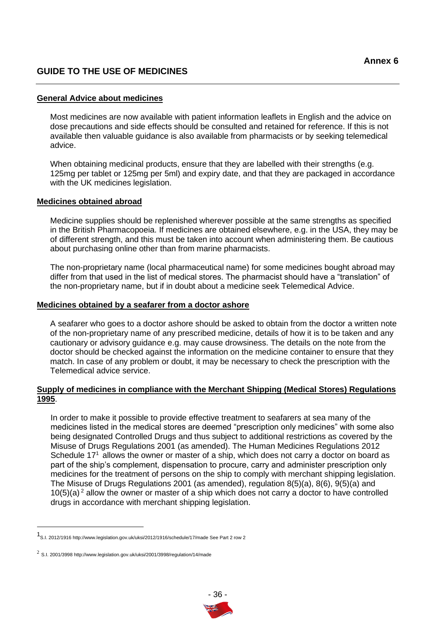## **GUIDE TO THE USE OF MEDICINES**

#### **General Advice about medicines**

Most medicines are now available with patient information leaflets in English and the advice on dose precautions and side effects should be consulted and retained for reference. If this is not available then valuable guidance is also available from pharmacists or by seeking telemedical advice.

When obtaining medicinal products, ensure that they are labelled with their strengths (e.g. 125mg per tablet or 125mg per 5ml) and expiry date, and that they are packaged in accordance with the UK medicines legislation.

#### **Medicines obtained abroad**

Medicine supplies should be replenished wherever possible at the same strengths as specified in the British Pharmacopoeia. If medicines are obtained elsewhere, e.g. in the USA, they may be of different strength, and this must be taken into account when administering them. Be cautious about purchasing online other than from marine pharmacists.

The non-proprietary name (local pharmaceutical name) for some medicines bought abroad may differ from that used in the list of medical stores. The pharmacist should have a "translation" of the non-proprietary name, but if in doubt about a medicine seek Telemedical Advice.

#### **Medicines obtained by a seafarer from a doctor ashore**

A seafarer who goes to a doctor ashore should be asked to obtain from the doctor a written note of the non-proprietary name of any prescribed medicine, details of how it is to be taken and any cautionary or advisory guidance e.g. may cause drowsiness. The details on the note from the doctor should be checked against the information on the medicine container to ensure that they match. In case of any problem or doubt, it may be necessary to check the prescription with the Telemedical advice service.

#### **Supply of medicines in compliance with the Merchant Shipping (Medical Stores) Regulations 1995**.

In order to make it possible to provide effective treatment to seafarers at sea many of the medicines listed in the medical stores are deemed "prescription only medicines" with some also being designated Controlled Drugs and thus subject to additional restrictions as covered by the Misuse of Drugs Regulations 2001 (as amended). The Human Medicines Regulations 2012 Schedule  $17<sup>1</sup>$  allows the owner or master of a ship, which does not carry a doctor on board as part of the ship's complement, dispensation to procure, carry and administer prescription only medicines for the treatment of persons on the ship to comply with merchant shipping legislation. The Misuse of Drugs Regulations 2001 (as amended), regulation 8(5)(a), 8(6), 9(5)(a) and  $10(5)(a)^2$  allow the owner or master of a ship which does not carry a doctor to have controlled drugs in accordance with merchant shipping legislation.

<sup>1</sup> S.I. 2012/1916 http://www.legislation.gov.uk/uksi/2012/1916/schedule/17/made See Part 2 row 2

 $^2$  S.I. 2001/3998 http://www.legislation.gov.uk/uksi/2001/3998/regulation/14/made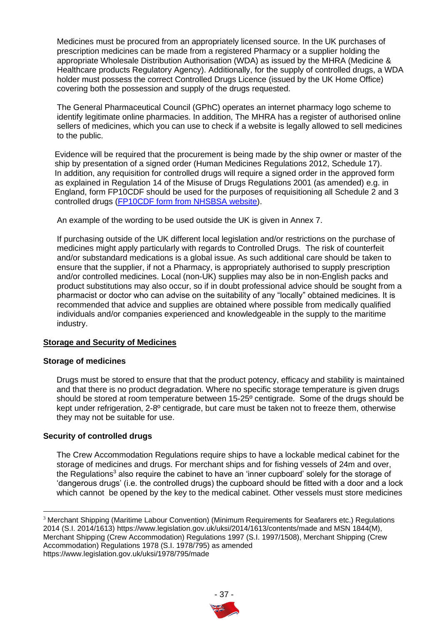Medicines must be procured from an appropriately licensed source. In the UK purchases of prescription medicines can be made from a registered Pharmacy or a supplier holding the appropriate Wholesale Distribution Authorisation (WDA) as issued by the MHRA (Medicine & Healthcare products Regulatory Agency). Additionally, for the supply of controlled drugs, a WDA holder must possess the correct Controlled Drugs Licence (issued by the UK Home Office) covering both the possession and supply of the drugs requested.

The General Pharmaceutical Council (GPhC) operates an internet pharmacy logo scheme to identify legitimate online pharmacies. In addition, The MHRA has a register of authorised online sellers of medicines, which you can use to check if a website is legally allowed to sell medicines to the public.

Evidence will be required that the procurement is being made by the ship owner or master of the ship by presentation of a signed order (Human Medicines Regulations 2012, Schedule 17). In addition, any requisition for controlled drugs will require a signed order in the approved form as explained in Regulation 14 of the Misuse of Drugs Regulations 2001 (as amended) e.g. in England, form FP10CDF should be used for the purposes of requisitioning all Schedule 2 and 3 controlled drugs [\(FP10CDF form from NHSBSA website\)](https://www.nhsbsa.nhs.uk/sites/default/files/2017-03/6-1387-Form_FP10CDF_v5_final.pdf).

An example of the wording to be used outside the UK is given in Annex 7.

If purchasing outside of the UK different local legislation and/or restrictions on the purchase of medicines might apply particularly with regards to Controlled Drugs. The risk of counterfeit and/or substandard medications is a global issue. As such additional care should be taken to ensure that the supplier, if not a Pharmacy, is appropriately authorised to supply prescription and/or controlled medicines. Local (non-UK) supplies may also be in non-English packs and product substitutions may also occur, so if in doubt professional advice should be sought from a pharmacist or doctor who can advise on the suitability of any "locally" obtained medicines. It is recommended that advice and supplies are obtained where possible from medically qualified individuals and/or companies experienced and knowledgeable in the supply to the maritime industry.

## **Storage and Security of Medicines**

#### **Storage of medicines**

Drugs must be stored to ensure that that the product potency, efficacy and stability is maintained and that there is no product degradation. Where no specific storage temperature is given drugs should be stored at room temperature between 15-25º centigrade. Some of the drugs should be kept under refrigeration, 2-8º centigrade, but care must be taken not to freeze them, otherwise they may not be suitable for use.

## **Security of controlled drugs**

The Crew Accommodation Regulations require ships to have a lockable medical cabinet for the storage of medicines and drugs. For merchant ships and for fishing vessels of 24m and over, the Regulations<sup>3</sup> also require the cabinet to have an 'inner cupboard' solely for the storage of 'dangerous drugs' (i.e. the controlled drugs) the cupboard should be fitted with a door and a lock which cannot be opened by the key to the medical cabinet. Other vessels must store medicines

<sup>3</sup> Merchant Shipping (Maritime Labour Convention) (Minimum Requirements for Seafarers etc.) Regulations 2014 (S.I. 2014/1613) https://www.legislation.gov.uk/uksi/2014/1613/contents/made and MSN 1844(M), Merchant Shipping (Crew Accommodation) Regulations 1997 (S.I. 1997/1508), Merchant Shipping (Crew Accommodation) Regulations 1978 (S.I. 1978/795) as amended https://www.legislation.gov.uk/uksi/1978/795/made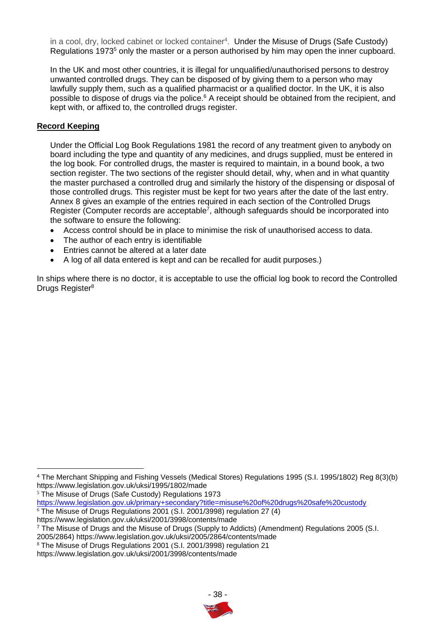in a cool, dry, locked cabinet or locked container<sup>4</sup>. Under the Misuse of Drugs (Safe Custody) Regulations 1973<sup>5</sup> only the master or a person authorised by him may open the inner cupboard.

In the UK and most other countries, it is illegal for unqualified/unauthorised persons to destroy unwanted controlled drugs. They can be disposed of by giving them to a person who may lawfully supply them, such as a qualified pharmacist or a qualified doctor. In the UK, it is also possible to dispose of drugs via the police.<sup>6</sup> A receipt should be obtained from the recipient, and kept with, or affixed to, the controlled drugs register.

#### **Record Keeping**

Under the Official Log Book Regulations 1981 the record of any treatment given to anybody on board including the type and quantity of any medicines, and drugs supplied, must be entered in the log book. For controlled drugs, the master is required to maintain, in a bound book, a two section register. The two sections of the register should detail, why, when and in what quantity the master purchased a controlled drug and similarly the history of the dispensing or disposal of those controlled drugs. This register must be kept for two years after the date of the last entry. Annex 8 gives an example of the entries required in each section of the Controlled Drugs Register (Computer records are acceptable<sup>7</sup>, although safeguards should be incorporated into the software to ensure the following:

- Access control should be in place to minimise the risk of unauthorised access to data.
- The author of each entry is identifiable
- Entries cannot be altered at a later date
- A log of all data entered is kept and can be recalled for audit purposes.)

In ships where there is no doctor, it is acceptable to use the official log book to record the Controlled Drugs Register<sup>8</sup>

<sup>5</sup> The Misuse of Drugs (Safe Custody) Regulations 1973

 $6$  The Misuse of Drugs Regulations 2001 (S.I. 2001/3998) regulation 27 (4)

<sup>4</sup> The Merchant Shipping and Fishing Vessels (Medical Stores) Regulations 1995 (S.I. 1995/1802) Reg 8(3)(b) https://www.legislation.gov.uk/uksi/1995/1802/made

<https://www.legislation.gov.uk/primary+secondary?title=misuse%20of%20drugs%20safe%20custody>

https://www.legislation.gov.uk/uksi/2001/3998/contents/made

<sup>7</sup> The Misuse of Drugs and the Misuse of Drugs (Supply to Addicts) (Amendment) Regulations 2005 (S.I.

<sup>2005/2864)</sup> https://www.legislation.gov.uk/uksi/2005/2864/contents/made

<sup>8</sup> The Misuse of Drugs Regulations 2001 (S.I. 2001/3998) regulation 21

https://www.legislation.gov.uk/uksi/2001/3998/contents/made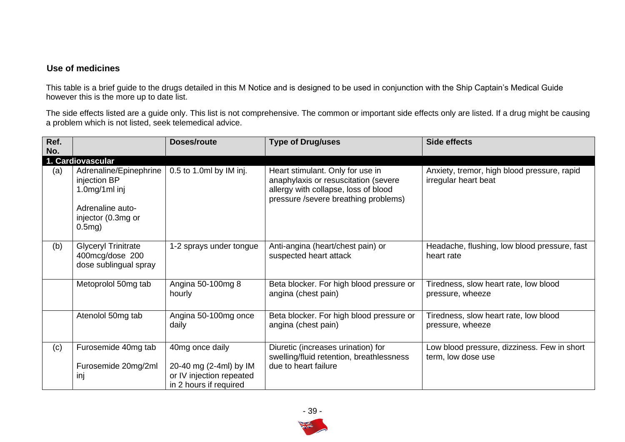## **Use of medicines**

This table is a brief guide to the drugs detailed in this M Notice and is designed to be used in conjunction with the Ship Captain's Medical Guide however this is the more up to date list.

The side effects listed are a guide only. This list is not comprehensive. The common or important side effects only are listed. If a drug might be causing a problem which is not listed, seek telemedical advice.

| Ref.<br>No. |                                                                                                                   | Doses/route                                                                                     | <b>Type of Drug/uses</b>                                                                                                                                 | <b>Side effects</b>                                                 |
|-------------|-------------------------------------------------------------------------------------------------------------------|-------------------------------------------------------------------------------------------------|----------------------------------------------------------------------------------------------------------------------------------------------------------|---------------------------------------------------------------------|
|             | 1. Cardiovascular                                                                                                 |                                                                                                 |                                                                                                                                                          |                                                                     |
| (a)         | Adrenaline/Epinephrine<br>injection BP<br>$1.0$ mg/1ml inj<br>Adrenaline auto-<br>injector (0.3mg or<br>$0.5mg$ ) | 0.5 to 1.0ml by IM inj.                                                                         | Heart stimulant. Only for use in<br>anaphylaxis or resuscitation (severe<br>allergy with collapse, loss of blood<br>pressure /severe breathing problems) | Anxiety, tremor, high blood pressure, rapid<br>irregular heart beat |
| (b)         | <b>Glyceryl Trinitrate</b><br>400mcg/dose 200<br>dose sublingual spray                                            | 1-2 sprays under tongue                                                                         | Anti-angina (heart/chest pain) or<br>suspected heart attack                                                                                              | Headache, flushing, low blood pressure, fast<br>heart rate          |
|             | Metoprolol 50mg tab                                                                                               | Angina 50-100mg 8<br>hourly                                                                     | Beta blocker. For high blood pressure or<br>angina (chest pain)                                                                                          | Tiredness, slow heart rate, low blood<br>pressure, wheeze           |
|             | Atenolol 50mg tab                                                                                                 | Angina 50-100mg once<br>daily                                                                   | Beta blocker. For high blood pressure or<br>angina (chest pain)                                                                                          | Tiredness, slow heart rate, low blood<br>pressure, wheeze           |
| (c)         | Furosemide 40mg tab<br>Furosemide 20mg/2ml<br>inj                                                                 | 40mg once daily<br>20-40 mg (2-4ml) by IM<br>or IV injection repeated<br>in 2 hours if required | Diuretic (increases urination) for<br>swelling/fluid retention, breathlessness<br>due to heart failure                                                   | Low blood pressure, dizziness. Few in short<br>term, low dose use   |

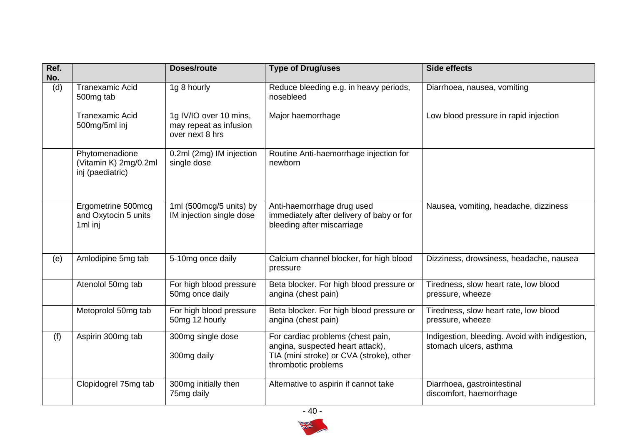| Ref.<br>No. |                                                             | <b>Doses/route</b>                                                  | <b>Type of Drug/uses</b>                                                                                                                 | <b>Side effects</b>                                                      |
|-------------|-------------------------------------------------------------|---------------------------------------------------------------------|------------------------------------------------------------------------------------------------------------------------------------------|--------------------------------------------------------------------------|
| (d)         | <b>Tranexamic Acid</b><br>500mg tab                         | 1g 8 hourly                                                         | Reduce bleeding e.g. in heavy periods,<br>nosebleed                                                                                      | Diarrhoea, nausea, vomiting                                              |
|             | <b>Tranexamic Acid</b><br>500mg/5ml inj                     | 1g IV/IO over 10 mins,<br>may repeat as infusion<br>over next 8 hrs | Major haemorrhage                                                                                                                        | Low blood pressure in rapid injection                                    |
|             | Phytomenadione<br>(Vitamin K) 2mg/0.2ml<br>inj (paediatric) | 0.2ml (2mg) IM injection<br>single dose                             | Routine Anti-haemorrhage injection for<br>newborn                                                                                        |                                                                          |
|             | Ergometrine 500mcg<br>and Oxytocin 5 units<br>1ml inj       | 1ml (500mcg/5 units) by<br>IM injection single dose                 | Anti-haemorrhage drug used<br>immediately after delivery of baby or for<br>bleeding after miscarriage                                    | Nausea, vomiting, headache, dizziness                                    |
| (e)         | Amlodipine 5mg tab                                          | 5-10mg once daily                                                   | Calcium channel blocker, for high blood<br>pressure                                                                                      | Dizziness, drowsiness, headache, nausea                                  |
|             | Atenolol 50mg tab                                           | For high blood pressure<br>50mg once daily                          | Beta blocker. For high blood pressure or<br>angina (chest pain)                                                                          | Tiredness, slow heart rate, low blood<br>pressure, wheeze                |
|             | Metoprolol 50mg tab                                         | For high blood pressure<br>50mg 12 hourly                           | Beta blocker. For high blood pressure or<br>angina (chest pain)                                                                          | Tiredness, slow heart rate, low blood<br>pressure, wheeze                |
| (f)         | Aspirin 300mg tab                                           | 300mg single dose<br>300mg daily                                    | For cardiac problems (chest pain,<br>angina, suspected heart attack),<br>TIA (mini stroke) or CVA (stroke), other<br>thrombotic problems | Indigestion, bleeding. Avoid with indigestion,<br>stomach ulcers, asthma |
|             | Clopidogrel 75mg tab                                        | 300mg initially then<br>75mg daily                                  | Alternative to aspirin if cannot take                                                                                                    | Diarrhoea, gastrointestinal<br>discomfort, haemorrhage                   |

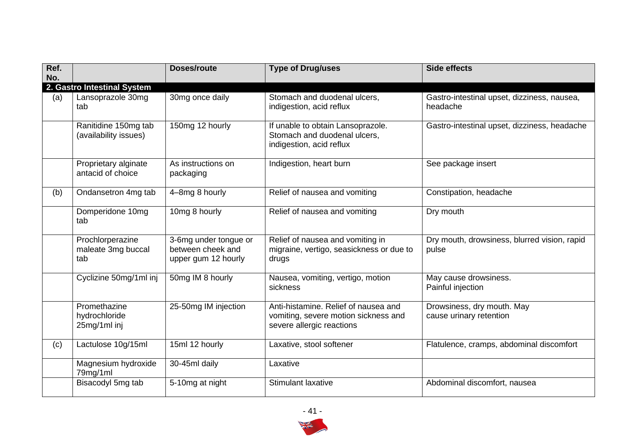| Ref.<br>No. |                                               | <b>Doses/route</b>                                                | <b>Type of Drug/uses</b>                                                                                  | <b>Side effects</b>                                     |
|-------------|-----------------------------------------------|-------------------------------------------------------------------|-----------------------------------------------------------------------------------------------------------|---------------------------------------------------------|
|             | 2. Gastro Intestinal System                   |                                                                   |                                                                                                           |                                                         |
| (a)         | Lansoprazole 30mg<br>tab                      | 30mg once daily                                                   | Stomach and duodenal ulcers,<br>indigestion, acid reflux                                                  | Gastro-intestinal upset, dizziness, nausea,<br>headache |
|             | Ranitidine 150mg tab<br>(availability issues) | 150mg 12 hourly                                                   | If unable to obtain Lansoprazole.<br>Stomach and duodenal ulcers,<br>indigestion, acid reflux             | Gastro-intestinal upset, dizziness, headache            |
|             | Proprietary alginate<br>antacid of choice     | As instructions on<br>packaging                                   | Indigestion, heart burn                                                                                   | See package insert                                      |
| (b)         | Ondansetron 4mg tab                           | 4-8mg 8 hourly                                                    | Relief of nausea and vomiting                                                                             | Constipation, headache                                  |
|             | Domperidone 10mg<br>tab                       | 10mg 8 hourly                                                     | Relief of nausea and vomiting                                                                             | Dry mouth                                               |
|             | Prochlorperazine<br>maleate 3mg buccal<br>tab | 3-6mg under tongue or<br>between cheek and<br>upper gum 12 hourly | Relief of nausea and vomiting in<br>migraine, vertigo, seasickness or due to<br>drugs                     | Dry mouth, drowsiness, blurred vision, rapid<br>pulse   |
|             | Cyclizine 50mg/1ml inj                        | 50mg IM 8 hourly                                                  | Nausea, vomiting, vertigo, motion<br>sickness                                                             | May cause drowsiness.<br>Painful injection              |
|             | Promethazine<br>hydrochloride<br>25mg/1ml inj | 25-50mg IM injection                                              | Anti-histamine. Relief of nausea and<br>vomiting, severe motion sickness and<br>severe allergic reactions | Drowsiness, dry mouth. May<br>cause urinary retention   |
| (c)         | Lactulose 10g/15ml                            | 15ml 12 hourly                                                    | Laxative, stool softener                                                                                  | Flatulence, cramps, abdominal discomfort                |
|             | Magnesium hydroxide<br>79mg/1ml               | 30-45ml daily                                                     | Laxative                                                                                                  |                                                         |
|             | Bisacodyl 5mg tab                             | 5-10mg at night                                                   | <b>Stimulant laxative</b>                                                                                 | Abdominal discomfort, nausea                            |

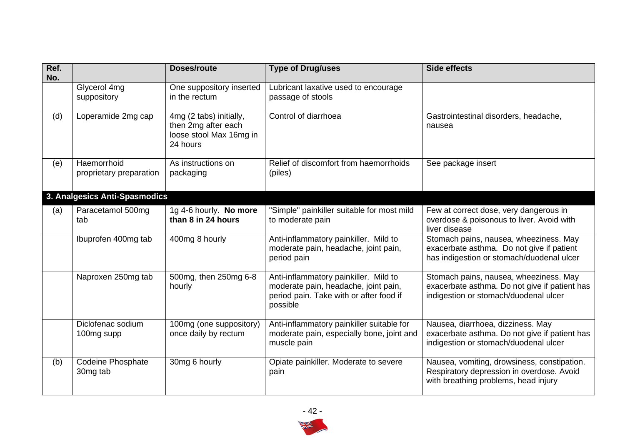| Ref.<br>No. |                                        | <b>Doses/route</b>                                                                    | <b>Type of Drug/uses</b>                                                                                                             | <b>Side effects</b>                                                                                                              |
|-------------|----------------------------------------|---------------------------------------------------------------------------------------|--------------------------------------------------------------------------------------------------------------------------------------|----------------------------------------------------------------------------------------------------------------------------------|
|             | Glycerol 4mg<br>suppository            | One suppository inserted<br>in the rectum                                             | Lubricant laxative used to encourage<br>passage of stools                                                                            |                                                                                                                                  |
| (d)         | Loperamide 2mg cap                     | 4mg (2 tabs) initially,<br>then 2mg after each<br>loose stool Max 16mg in<br>24 hours | Control of diarrhoea                                                                                                                 | Gastrointestinal disorders, headache,<br>nausea                                                                                  |
| (e)         | Haemorrhoid<br>proprietary preparation | As instructions on<br>packaging                                                       | Relief of discomfort from haemorrhoids<br>(piles)                                                                                    | See package insert                                                                                                               |
|             | 3. Analgesics Anti-Spasmodics          |                                                                                       |                                                                                                                                      |                                                                                                                                  |
| (a)         | Paracetamol 500mg<br>tab               | 1g 4-6 hourly. No more<br>than 8 in 24 hours                                          | "Simple" painkiller suitable for most mild<br>to moderate pain                                                                       | Few at correct dose, very dangerous in<br>overdose & poisonous to liver. Avoid with<br>liver disease                             |
|             | Ibuprofen 400mg tab                    | 400mg 8 hourly                                                                        | Anti-inflammatory painkiller. Mild to<br>moderate pain, headache, joint pain,<br>period pain                                         | Stomach pains, nausea, wheeziness. May<br>exacerbate asthma. Do not give if patient<br>has indigestion or stomach/duodenal ulcer |
|             | Naproxen 250mg tab                     | 500mg, then 250mg 6-8<br>hourly                                                       | Anti-inflammatory painkiller. Mild to<br>moderate pain, headache, joint pain,<br>period pain. Take with or after food if<br>possible | Stomach pains, nausea, wheeziness. May<br>exacerbate asthma. Do not give if patient has<br>indigestion or stomach/duodenal ulcer |
|             | Diclofenac sodium<br>100mg supp        | 100mg (one suppository)<br>once daily by rectum                                       | Anti-inflammatory painkiller suitable for<br>moderate pain, especially bone, joint and<br>muscle pain                                | Nausea, diarrhoea, dizziness. May<br>exacerbate asthma. Do not give if patient has<br>indigestion or stomach/duodenal ulcer      |
| (b)         | <b>Codeine Phosphate</b><br>30mg tab   | 30mg 6 hourly                                                                         | Opiate painkiller. Moderate to severe<br>pain                                                                                        | Nausea, vomiting, drowsiness, constipation.<br>Respiratory depression in overdose. Avoid<br>with breathing problems, head injury |

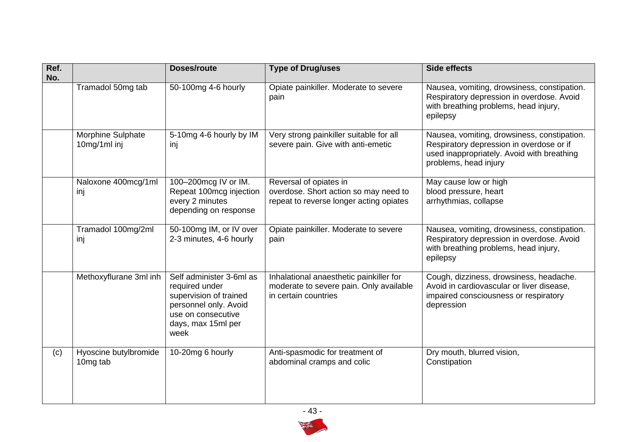| Ref.<br>No. |                                          | <b>Doses/route</b>                                                                                                                                | <b>Type of Drug/uses</b>                                                                                   | <b>Side effects</b>                                                                                                                                            |
|-------------|------------------------------------------|---------------------------------------------------------------------------------------------------------------------------------------------------|------------------------------------------------------------------------------------------------------------|----------------------------------------------------------------------------------------------------------------------------------------------------------------|
|             | Tramadol 50mg tab                        | 50-100mg 4-6 hourly                                                                                                                               | Opiate painkiller. Moderate to severe<br>pain                                                              | Nausea, vomiting, drowsiness, constipation.<br>Respiratory depression in overdose. Avoid<br>with breathing problems, head injury,<br>epilepsy                  |
|             | <b>Morphine Sulphate</b><br>10mg/1ml inj | 5-10mg 4-6 hourly by IM<br>inj                                                                                                                    | Very strong painkiller suitable for all<br>severe pain. Give with anti-emetic                              | Nausea, vomiting, drowsiness, constipation.<br>Respiratory depression in overdose or if<br>used inappropriately. Avoid with breathing<br>problems, head injury |
|             | Naloxone 400mcg/1ml<br>inj               | 100-200mcg IV or IM.<br>Repeat 100mcg injection<br>every 2 minutes<br>depending on response                                                       | Reversal of opiates in<br>overdose. Short action so may need to<br>repeat to reverse longer acting opiates | May cause low or high<br>blood pressure, heart<br>arrhythmias, collapse                                                                                        |
|             | Tramadol 100mg/2ml<br>inj                | 50-100mg IM, or IV over<br>2-3 minutes, 4-6 hourly                                                                                                | Opiate painkiller. Moderate to severe<br>pain                                                              | Nausea, vomiting, drowsiness, constipation.<br>Respiratory depression in overdose. Avoid<br>with breathing problems, head injury,<br>epilepsy                  |
|             | Methoxyflurane 3ml inh                   | Self administer 3-6ml as<br>required under<br>supervision of trained<br>personnel only. Avoid<br>use on consecutive<br>days, max 15ml per<br>week | Inhalational anaesthetic painkiller for<br>moderate to severe pain. Only available<br>in certain countries | Cough, dizziness, drowsiness, headache.<br>Avoid in cardiovascular or liver disease,<br>impaired consciousness or respiratory<br>depression                    |
| (c)         | Hyoscine butylbromide<br>10mg tab        | 10-20mg 6 hourly                                                                                                                                  | Anti-spasmodic for treatment of<br>abdominal cramps and colic                                              | Dry mouth, blurred vision,<br>Constipation                                                                                                                     |

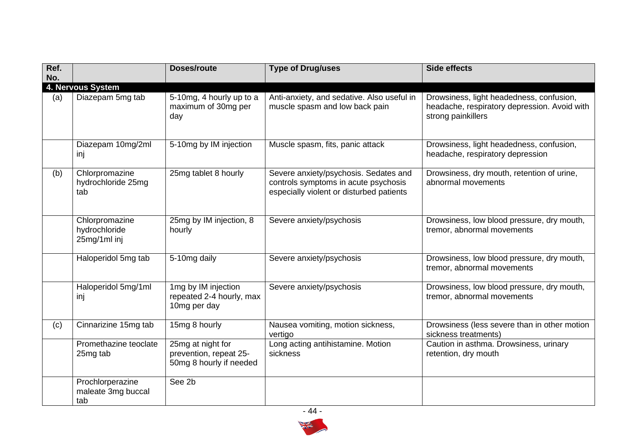| Ref.<br>No. |                                                 | <b>Doses/route</b>                                                     | <b>Type of Drug/uses</b>                                                                                                  | <b>Side effects</b>                                                                                            |
|-------------|-------------------------------------------------|------------------------------------------------------------------------|---------------------------------------------------------------------------------------------------------------------------|----------------------------------------------------------------------------------------------------------------|
|             | 4. Nervous System                               |                                                                        |                                                                                                                           |                                                                                                                |
| (a)         | Diazepam 5mg tab                                | 5-10mg, 4 hourly up to a<br>maximum of 30mg per<br>day                 | Anti-anxiety, and sedative. Also useful in<br>muscle spasm and low back pain                                              | Drowsiness, light headedness, confusion,<br>headache, respiratory depression. Avoid with<br>strong painkillers |
|             | Diazepam 10mg/2ml<br>inj                        | 5-10mg by IM injection                                                 | Muscle spasm, fits, panic attack                                                                                          | Drowsiness, light headedness, confusion,<br>headache, respiratory depression                                   |
| (b)         | Chlorpromazine<br>hydrochloride 25mg<br>tab     | 25mg tablet 8 hourly                                                   | Severe anxiety/psychosis. Sedates and<br>controls symptoms in acute psychosis<br>especially violent or disturbed patients | Drowsiness, dry mouth, retention of urine,<br>abnormal movements                                               |
|             | Chlorpromazine<br>hydrochloride<br>25mg/1ml inj | 25mg by IM injection, 8<br>hourly                                      | Severe anxiety/psychosis                                                                                                  | Drowsiness, low blood pressure, dry mouth,<br>tremor, abnormal movements                                       |
|             | Haloperidol 5mg tab                             | 5-10mg daily                                                           | Severe anxiety/psychosis                                                                                                  | Drowsiness, low blood pressure, dry mouth,<br>tremor, abnormal movements                                       |
|             | Haloperidol 5mg/1ml<br>inj                      | 1mg by IM injection<br>repeated 2-4 hourly, max<br>10mg per day        | Severe anxiety/psychosis                                                                                                  | Drowsiness, low blood pressure, dry mouth,<br>tremor, abnormal movements                                       |
| (c)         | Cinnarizine 15mg tab                            | 15mg 8 hourly                                                          | Nausea vomiting, motion sickness,<br>vertigo                                                                              | Drowsiness (less severe than in other motion<br>sickness treatments)                                           |
|             | Promethazine teoclate<br>25mg tab               | 25mg at night for<br>prevention, repeat 25-<br>50mg 8 hourly if needed | Long acting antihistamine. Motion<br>sickness                                                                             | Caution in asthma. Drowsiness, urinary<br>retention, dry mouth                                                 |
|             | Prochlorperazine<br>maleate 3mg buccal<br>tab   | See 2b                                                                 |                                                                                                                           |                                                                                                                |



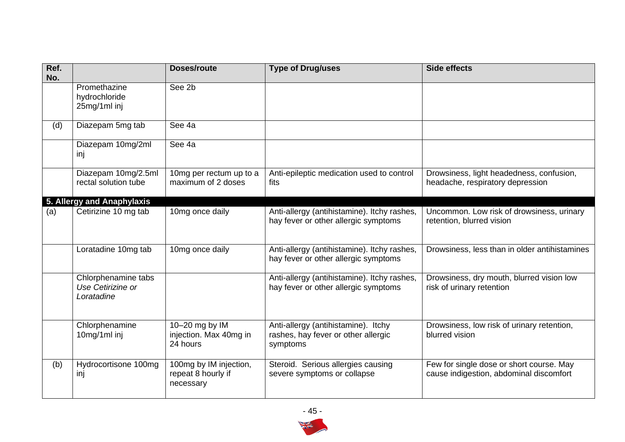| Ref.<br>No. |                                                        | <b>Doses/route</b>                                        | <b>Type of Drug/uses</b>                                                               | <b>Side effects</b>                                                                 |
|-------------|--------------------------------------------------------|-----------------------------------------------------------|----------------------------------------------------------------------------------------|-------------------------------------------------------------------------------------|
|             | Promethazine<br>hydrochloride<br>25mg/1ml inj          | See 2b                                                    |                                                                                        |                                                                                     |
| (d)         | Diazepam 5mg tab                                       | See 4a                                                    |                                                                                        |                                                                                     |
|             | Diazepam 10mg/2ml<br>inj                               | See 4a                                                    |                                                                                        |                                                                                     |
|             | Diazepam 10mg/2.5ml<br>rectal solution tube            | 10mg per rectum up to a<br>maximum of 2 doses             | Anti-epileptic medication used to control<br>fits                                      | Drowsiness, light headedness, confusion,<br>headache, respiratory depression        |
|             | 5. Allergy and Anaphylaxis                             |                                                           |                                                                                        |                                                                                     |
| (a)         | Cetirizine 10 mg tab                                   | 10mg once daily                                           | Anti-allergy (antihistamine). Itchy rashes,<br>hay fever or other allergic symptoms    | Uncommon. Low risk of drowsiness, urinary<br>retention, blurred vision              |
|             | Loratadine 10mg tab                                    | 10mg once daily                                           | Anti-allergy (antihistamine). Itchy rashes,<br>hay fever or other allergic symptoms    | Drowsiness, less than in older antihistamines                                       |
|             | Chlorphenamine tabs<br>Use Cetirizine or<br>Loratadine |                                                           | Anti-allergy (antihistamine). Itchy rashes,<br>hay fever or other allergic symptoms    | Drowsiness, dry mouth, blurred vision low<br>risk of urinary retention              |
|             | Chlorphenamine<br>10mg/1ml inj                         | 10-20 mg by IM<br>injection. Max 40mg in<br>24 hours      | Anti-allergy (antihistamine). Itchy<br>rashes, hay fever or other allergic<br>symptoms | Drowsiness, low risk of urinary retention,<br>blurred vision                        |
| (b)         | Hydrocortisone 100mg<br>inj                            | 100mg by IM injection,<br>repeat 8 hourly if<br>necessary | Steroid. Serious allergies causing<br>severe symptoms or collapse                      | Few for single dose or short course. May<br>cause indigestion, abdominal discomfort |

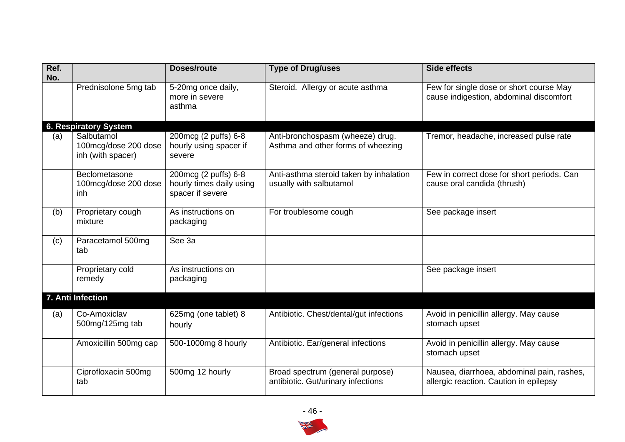| Ref.<br>No. |                                                         | <b>Doses/route</b>                                                   | <b>Type of Drug/uses</b>                                               | <b>Side effects</b>                                                                  |
|-------------|---------------------------------------------------------|----------------------------------------------------------------------|------------------------------------------------------------------------|--------------------------------------------------------------------------------------|
|             | Prednisolone 5mg tab                                    | 5-20mg once daily,<br>more in severe<br>asthma                       | Steroid. Allergy or acute asthma                                       | Few for single dose or short course May<br>cause indigestion, abdominal discomfort   |
|             | 6. Respiratory System                                   |                                                                      |                                                                        |                                                                                      |
| (a)         | Salbutamol<br>100mcg/dose 200 dose<br>inh (with spacer) | 200mcg (2 puffs) 6-8<br>hourly using spacer if<br>severe             | Anti-bronchospasm (wheeze) drug.<br>Asthma and other forms of wheezing | Tremor, headache, increased pulse rate                                               |
|             | Beclometasone<br>100mcg/dose 200 dose<br>inh            | 200mcg (2 puffs) 6-8<br>hourly times daily using<br>spacer if severe | Anti-asthma steroid taken by inhalation<br>usually with salbutamol     | Few in correct dose for short periods. Can<br>cause oral candida (thrush)            |
| (b)         | Proprietary cough<br>mixture                            | As instructions on<br>packaging                                      | For troublesome cough                                                  | See package insert                                                                   |
| (c)         | Paracetamol 500mg<br>tab                                | See 3a                                                               |                                                                        |                                                                                      |
|             | Proprietary cold<br>remedy                              | As instructions on<br>packaging                                      |                                                                        | See package insert                                                                   |
|             | 7. Anti Infection                                       |                                                                      |                                                                        |                                                                                      |
| (a)         | Co-Amoxiclav<br>500mg/125mg tab                         | 625mg (one tablet) 8<br>hourly                                       | Antibiotic. Chest/dental/gut infections                                | Avoid in penicillin allergy. May cause<br>stomach upset                              |
|             | Amoxicillin 500mg cap                                   | 500-1000mg 8 hourly                                                  | Antibiotic. Ear/general infections                                     | Avoid in penicillin allergy. May cause<br>stomach upset                              |
|             | Ciprofloxacin 500mg<br>tab                              | 500mg 12 hourly                                                      | Broad spectrum (general purpose)<br>antibiotic. Gut/urinary infections | Nausea, diarrhoea, abdominal pain, rashes,<br>allergic reaction. Caution in epilepsy |

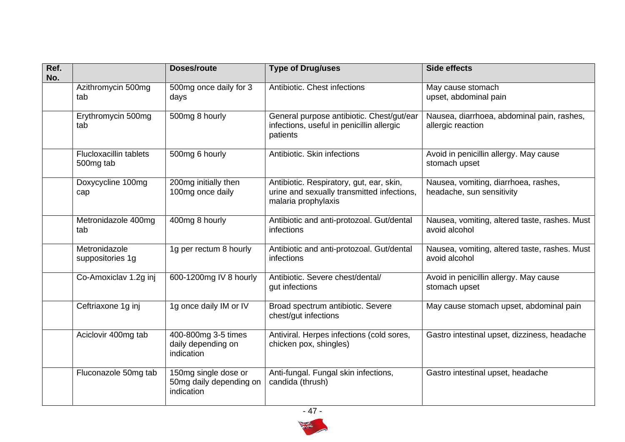| Ref.<br>No. |                                            | <b>Doses/route</b>                                            | <b>Type of Drug/uses</b>                                                                                      | <b>Side effects</b>                                               |
|-------------|--------------------------------------------|---------------------------------------------------------------|---------------------------------------------------------------------------------------------------------------|-------------------------------------------------------------------|
|             | Azithromycin 500mg<br>tab                  | 500mg once daily for 3<br>days                                | Antibiotic. Chest infections                                                                                  | May cause stomach<br>upset, abdominal pain                        |
|             | Erythromycin 500mg<br>tab                  | 500mg 8 hourly                                                | General purpose antibiotic. Chest/gut/ear<br>infections, useful in penicillin allergic<br>patients            | Nausea, diarrhoea, abdominal pain, rashes,<br>allergic reaction   |
|             | <b>Flucloxacillin tablets</b><br>500mg tab | 500mg 6 hourly                                                | Antibiotic. Skin infections                                                                                   | Avoid in penicillin allergy. May cause<br>stomach upset           |
|             | Doxycycline 100mg<br>cap                   | 200mg initially then<br>100mg once daily                      | Antibiotic. Respiratory, gut, ear, skin,<br>urine and sexually transmitted infections,<br>malaria prophylaxis | Nausea, vomiting, diarrhoea, rashes,<br>headache, sun sensitivity |
|             | Metronidazole 400mg<br>tab                 | 400mg 8 hourly                                                | Antibiotic and anti-protozoal. Gut/dental<br>infections                                                       | Nausea, vomiting, altered taste, rashes. Must<br>avoid alcohol    |
|             | Metronidazole<br>suppositories 1g          | 1g per rectum 8 hourly                                        | Antibiotic and anti-protozoal. Gut/dental<br>infections                                                       | Nausea, vomiting, altered taste, rashes. Must<br>avoid alcohol    |
|             | Co-Amoxiclav 1.2g inj                      | 600-1200mg IV 8 hourly                                        | Antibiotic. Severe chest/dental/<br>gut infections                                                            | Avoid in penicillin allergy. May cause<br>stomach upset           |
|             | Ceftriaxone 1g inj                         | 1g once daily IM or IV                                        | Broad spectrum antibiotic. Severe<br>chest/gut infections                                                     | May cause stomach upset, abdominal pain                           |
|             | Aciclovir 400mg tab                        | 400-800mg 3-5 times<br>daily depending on<br>indication       | Antiviral. Herpes infections (cold sores,<br>chicken pox, shingles)                                           | Gastro intestinal upset, dizziness, headache                      |
|             | Fluconazole 50mg tab                       | 150mg single dose or<br>50mg daily depending on<br>indication | Anti-fungal. Fungal skin infections,<br>candida (thrush)                                                      | Gastro intestinal upset, headache                                 |



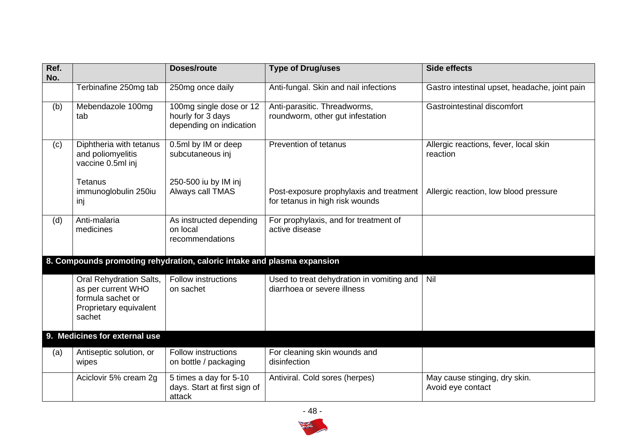| Ref.<br>No. |                                                                                                        | <b>Doses/route</b>                                                      | <b>Type of Drug/uses</b>                                                   | <b>Side effects</b>                                |
|-------------|--------------------------------------------------------------------------------------------------------|-------------------------------------------------------------------------|----------------------------------------------------------------------------|----------------------------------------------------|
|             | Terbinafine 250mg tab                                                                                  | 250mg once daily                                                        | Anti-fungal. Skin and nail infections                                      | Gastro intestinal upset, headache, joint pain      |
| (b)         | Mebendazole 100mg<br>tab                                                                               | 100mg single dose or 12<br>hourly for 3 days<br>depending on indication | Anti-parasitic. Threadworms,<br>roundworm, other gut infestation           | Gastrointestinal discomfort                        |
| (c)         | Diphtheria with tetanus<br>and poliomyelitis<br>vaccine 0.5ml inj                                      | 0.5ml by IM or deep<br>subcutaneous inj                                 | Prevention of tetanus                                                      | Allergic reactions, fever, local skin<br>reaction  |
|             | Tetanus<br>immunoglobulin 250iu<br>inj                                                                 | 250-500 iu by IM inj<br>Always call TMAS                                | Post-exposure prophylaxis and treatment<br>for tetanus in high risk wounds | Allergic reaction, low blood pressure              |
| (d)         | Anti-malaria<br>medicines                                                                              | As instructed depending<br>on local<br>recommendations                  | For prophylaxis, and for treatment of<br>active disease                    |                                                    |
|             |                                                                                                        | 8. Compounds promoting rehydration, caloric intake and plasma expansion |                                                                            |                                                    |
|             | Oral Rehydration Salts,<br>as per current WHO<br>formula sachet or<br>Proprietary equivalent<br>sachet | <b>Follow instructions</b><br>on sachet                                 | Used to treat dehydration in vomiting and<br>diarrhoea or severe illness   | Nil                                                |
|             | 9. Medicines for external use                                                                          |                                                                         |                                                                            |                                                    |
| (a)         | Antiseptic solution, or<br>wipes                                                                       | <b>Follow instructions</b><br>on bottle / packaging                     | For cleaning skin wounds and<br>disinfection                               |                                                    |
|             | Aciclovir 5% cream 2g                                                                                  | 5 times a day for 5-10<br>days. Start at first sign of<br>attack        | Antiviral. Cold sores (herpes)                                             | May cause stinging, dry skin.<br>Avoid eye contact |

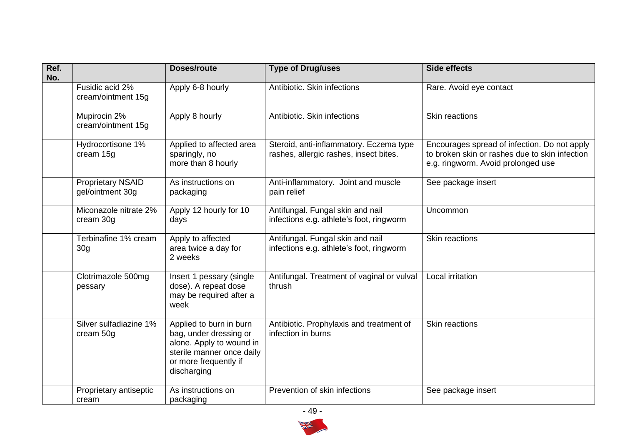| Ref.<br>No. |                                              | <b>Doses/route</b>                                                                                                                                 | <b>Type of Drug/uses</b>                                                          | <b>Side effects</b>                                                                                                                  |
|-------------|----------------------------------------------|----------------------------------------------------------------------------------------------------------------------------------------------------|-----------------------------------------------------------------------------------|--------------------------------------------------------------------------------------------------------------------------------------|
|             | Fusidic acid 2%<br>cream/ointment 15g        | Apply 6-8 hourly                                                                                                                                   | Antibiotic. Skin infections                                                       | Rare. Avoid eye contact                                                                                                              |
|             | Mupirocin 2%<br>cream/ointment 15g           | Apply 8 hourly                                                                                                                                     | Antibiotic. Skin infections                                                       | Skin reactions                                                                                                                       |
|             | Hydrocortisone 1%<br>cream 15g               | Applied to affected area<br>sparingly, no<br>more than 8 hourly                                                                                    | Steroid, anti-inflammatory. Eczema type<br>rashes, allergic rashes, insect bites. | Encourages spread of infection. Do not apply<br>to broken skin or rashes due to skin infection<br>e.g. ringworm. Avoid prolonged use |
|             | <b>Proprietary NSAID</b><br>gel/ointment 30g | As instructions on<br>packaging                                                                                                                    | Anti-inflammatory. Joint and muscle<br>pain relief                                | See package insert                                                                                                                   |
|             | Miconazole nitrate 2%<br>cream 30g           | Apply 12 hourly for 10<br>days                                                                                                                     | Antifungal. Fungal skin and nail<br>infections e.g. athlete's foot, ringworm      | Uncommon                                                                                                                             |
|             | Terbinafine 1% cream<br>30 <sub>g</sub>      | Apply to affected<br>area twice a day for<br>2 weeks                                                                                               | Antifungal. Fungal skin and nail<br>infections e.g. athlete's foot, ringworm      | Skin reactions                                                                                                                       |
|             | Clotrimazole 500mg<br>pessary                | Insert 1 pessary (single<br>dose). A repeat dose<br>may be required after a<br>week                                                                | Antifungal. Treatment of vaginal or vulval<br>thrush                              | Local irritation                                                                                                                     |
|             | Silver sulfadiazine 1%<br>cream 50g          | Applied to burn in burn<br>bag, under dressing or<br>alone. Apply to wound in<br>sterile manner once daily<br>or more frequently if<br>discharging | Antibiotic. Prophylaxis and treatment of<br>infection in burns                    | <b>Skin reactions</b>                                                                                                                |
|             | Proprietary antiseptic<br>cream              | As instructions on<br>packaging                                                                                                                    | Prevention of skin infections                                                     | See package insert                                                                                                                   |

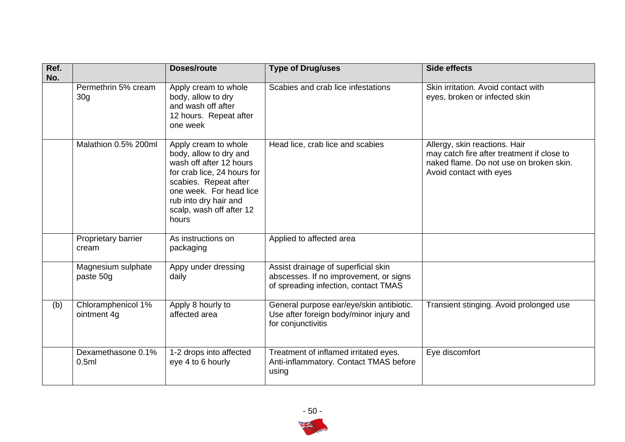| Ref.<br>No. |                                        | <b>Doses/route</b>                                                                                                                                                                                                         | <b>Type of Drug/uses</b>                                                                                              | <b>Side effects</b>                                                                                                                               |
|-------------|----------------------------------------|----------------------------------------------------------------------------------------------------------------------------------------------------------------------------------------------------------------------------|-----------------------------------------------------------------------------------------------------------------------|---------------------------------------------------------------------------------------------------------------------------------------------------|
|             | Permethrin 5% cream<br>30 <sub>g</sub> | Apply cream to whole<br>body, allow to dry<br>and wash off after<br>12 hours. Repeat after<br>one week                                                                                                                     | Scabies and crab lice infestations                                                                                    | Skin irritation. Avoid contact with<br>eyes, broken or infected skin                                                                              |
|             | Malathion 0.5% 200ml                   | Apply cream to whole<br>body, allow to dry and<br>wash off after 12 hours<br>for crab lice, 24 hours for<br>scabies. Repeat after<br>one week. For head lice<br>rub into dry hair and<br>scalp, wash off after 12<br>hours | Head lice, crab lice and scabies                                                                                      | Allergy, skin reactions. Hair<br>may catch fire after treatment if close to<br>naked flame. Do not use on broken skin.<br>Avoid contact with eyes |
|             | Proprietary barrier<br>cream           | As instructions on<br>packaging                                                                                                                                                                                            | Applied to affected area                                                                                              |                                                                                                                                                   |
|             | Magnesium sulphate<br>paste 50g        | Appy under dressing<br>daily                                                                                                                                                                                               | Assist drainage of superficial skin<br>abscesses. If no improvement, or signs<br>of spreading infection, contact TMAS |                                                                                                                                                   |
| (b)         | Chloramphenicol 1%<br>ointment 4g      | Apply 8 hourly to<br>affected area                                                                                                                                                                                         | General purpose ear/eye/skin antibiotic.<br>Use after foreign body/minor injury and<br>for conjunctivitis             | Transient stinging. Avoid prolonged use                                                                                                           |
|             | Dexamethasone 0.1%<br>0.5ml            | 1-2 drops into affected<br>eye 4 to 6 hourly                                                                                                                                                                               | Treatment of inflamed irritated eyes.<br>Anti-inflammatory. Contact TMAS before<br>using                              | Eye discomfort                                                                                                                                    |

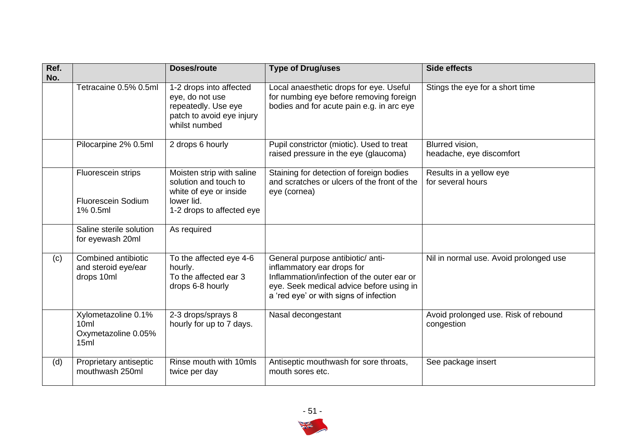| Ref.<br>No. |                                                             | Doses/route                                                                                                             | <b>Type of Drug/uses</b>                                                                                                                                                                            | <b>Side effects</b>                                |
|-------------|-------------------------------------------------------------|-------------------------------------------------------------------------------------------------------------------------|-----------------------------------------------------------------------------------------------------------------------------------------------------------------------------------------------------|----------------------------------------------------|
|             | Tetracaine 0.5% 0.5ml                                       | 1-2 drops into affected<br>eye, do not use<br>repeatedly. Use eye<br>patch to avoid eye injury<br>whilst numbed         | Local anaesthetic drops for eye. Useful<br>for numbing eye before removing foreign<br>bodies and for acute pain e.g. in arc eye                                                                     | Stings the eye for a short time                    |
|             | Pilocarpine 2% 0.5ml                                        | 2 drops 6 hourly                                                                                                        | Pupil constrictor (miotic). Used to treat<br>raised pressure in the eye (glaucoma)                                                                                                                  | Blurred vision,<br>headache, eye discomfort        |
|             | Fluorescein strips<br><b>Fluorescein Sodium</b><br>1% 0.5ml | Moisten strip with saline<br>solution and touch to<br>white of eye or inside<br>lower lid.<br>1-2 drops to affected eye | Staining for detection of foreign bodies<br>and scratches or ulcers of the front of the<br>eye (cornea)                                                                                             | Results in a yellow eye<br>for several hours       |
|             | Saline sterile solution<br>for eyewash 20ml                 | As required                                                                                                             |                                                                                                                                                                                                     |                                                    |
| (c)         | Combined antibiotic<br>and steroid eye/ear<br>drops 10ml    | To the affected eye 4-6<br>hourly.<br>To the affected ear 3<br>drops 6-8 hourly                                         | General purpose antibiotic/ anti-<br>inflammatory ear drops for<br>Inflammation/infection of the outer ear or<br>eye. Seek medical advice before using in<br>a 'red eye' or with signs of infection | Nil in normal use. Avoid prolonged use             |
|             | Xylometazoline 0.1%<br>10ml<br>Oxymetazoline 0.05%<br>15ml  | 2-3 drops/sprays 8<br>hourly for up to 7 days.                                                                          | Nasal decongestant                                                                                                                                                                                  | Avoid prolonged use. Risk of rebound<br>congestion |
| (d)         | Proprietary antiseptic<br>mouthwash 250ml                   | Rinse mouth with 10mls<br>twice per day                                                                                 | Antiseptic mouthwash for sore throats,<br>mouth sores etc.                                                                                                                                          | See package insert                                 |

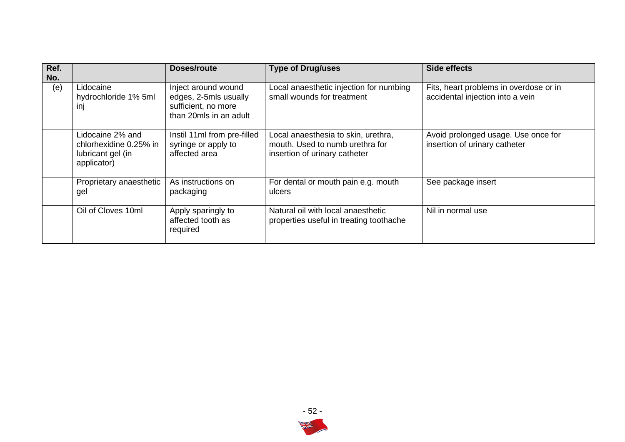| Ref.<br>No. |                                                                                | Doses/route                                                                                   | <b>Type of Drug/uses</b>                                                                                | Side effects                                                               |
|-------------|--------------------------------------------------------------------------------|-----------------------------------------------------------------------------------------------|---------------------------------------------------------------------------------------------------------|----------------------------------------------------------------------------|
| (e)         | Lidocaine<br>hydrochloride 1% 5ml<br>inj                                       | Inject around wound<br>edges, 2-5mls usually<br>sufficient, no more<br>than 20mls in an adult | Local anaesthetic injection for numbing<br>small wounds for treatment                                   | Fits, heart problems in overdose or in<br>accidental injection into a vein |
|             | Lidocaine 2% and<br>chlorhexidine 0.25% in<br>lubricant gel (in<br>applicator) | Instil 11ml from pre-filled<br>syringe or apply to<br>affected area                           | Local anaesthesia to skin, urethra,<br>mouth. Used to numb urethra for<br>insertion of urinary catheter | Avoid prolonged usage. Use once for<br>insertion of urinary catheter       |
|             | Proprietary anaesthetic<br>gel                                                 | As instructions on<br>packaging                                                               | For dental or mouth pain e.g. mouth<br>ulcers                                                           | See package insert                                                         |
|             | Oil of Cloves 10ml                                                             | Apply sparingly to<br>affected tooth as<br>required                                           | Natural oil with local anaesthetic<br>properties useful in treating toothache                           | Nil in normal use                                                          |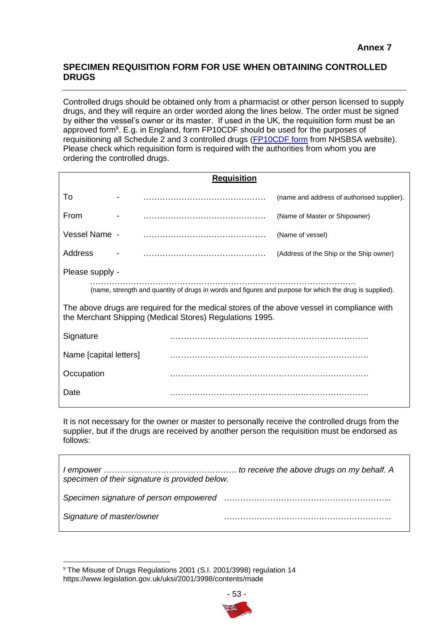## **SPECIMEN REQUISITION FORM FOR USE WHEN OBTAINING CONTROLLED DRUGS**

Controlled drugs should be obtained only from a pharmacist or other person licensed to supply drugs, and they will require an order worded along the lines below. The order must be signed by either the vessel's owner or its master. If used in the UK, the requisition form must be an approved form<sup>9</sup>. E.g. in England, form FP10CDF should be used for the purposes of requisitioning all Schedule 2 and 3 controlled drugs [\(FP10CDF form](https://www.nhsbsa.nhs.uk/sites/default/files/2017-03/6-1387-Form_FP10CDF_v5_final.pdf) from NHSBSA website). Please check which requisition form is required with the authorities from whom you are ordering the controlled drugs.

| <b>Requisition</b>                                                                                                                                     |                                            |  |  |  |  |  |
|--------------------------------------------------------------------------------------------------------------------------------------------------------|--------------------------------------------|--|--|--|--|--|
|                                                                                                                                                        | (name and address of authorised supplier). |  |  |  |  |  |
|                                                                                                                                                        | (Name of Master or Shipowner)              |  |  |  |  |  |
|                                                                                                                                                        | (Name of vessel)                           |  |  |  |  |  |
|                                                                                                                                                        | (Address of the Ship or the Ship owner)    |  |  |  |  |  |
|                                                                                                                                                        |                                            |  |  |  |  |  |
| (name, strength and quantity of drugs in words and figures and purpose for which the drug is supplied).                                                |                                            |  |  |  |  |  |
| The above drugs are required for the medical stores of the above vessel in compliance with<br>the Merchant Shipping (Medical Stores) Regulations 1995. |                                            |  |  |  |  |  |
|                                                                                                                                                        |                                            |  |  |  |  |  |
| Name [capital letters]                                                                                                                                 |                                            |  |  |  |  |  |
|                                                                                                                                                        |                                            |  |  |  |  |  |
|                                                                                                                                                        |                                            |  |  |  |  |  |
|                                                                                                                                                        |                                            |  |  |  |  |  |

It is not necessary for the owner or master to personally receive the controlled drugs from the supplier, but if the drugs are received by another person the requisition must be endorsed as follows:

| specimen of their signature is provided below. |                                                                                                                                                                                                                                |
|------------------------------------------------|--------------------------------------------------------------------------------------------------------------------------------------------------------------------------------------------------------------------------------|
|                                                | Specimen signature of person empowered manufactured contain manufactured suppose suppose the signature of person empowered manufactured supposed supposed in the Special Specifical Specifical Specifical Specifical Specifica |
| Signature of master/owner                      |                                                                                                                                                                                                                                |

<sup>9</sup> The Misuse of Drugs Regulations 2001 (S.I. 2001/3998) regulation 14 https://www.legislation.gov.uk/uksi/2001/3998/contents/made